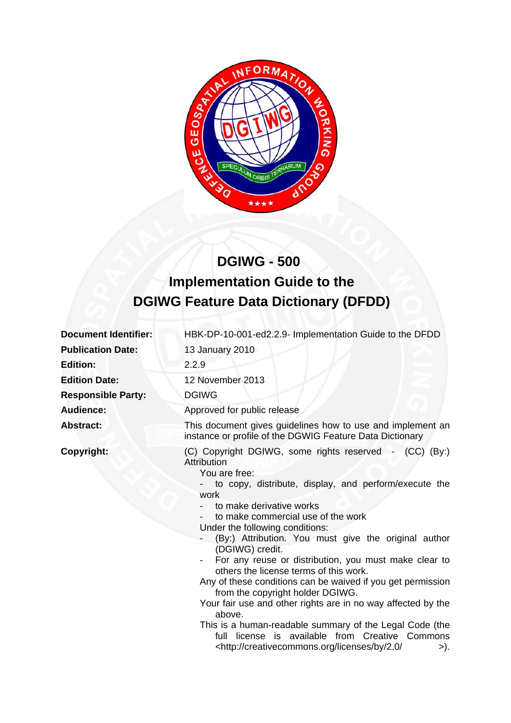

# **DGIWG - 500 Implementation Guide to the DGIWG Feature Data Dictionary (DFDD)**

| <b>Document Identifier:</b> | HBK-DP-10-001-ed2.2.9- Implementation Guide to the DFDD                                                                                                                                                                                                                                                                                                                                                                                                                                                                                                                                                                                                                                                                                                                                                               |  |
|-----------------------------|-----------------------------------------------------------------------------------------------------------------------------------------------------------------------------------------------------------------------------------------------------------------------------------------------------------------------------------------------------------------------------------------------------------------------------------------------------------------------------------------------------------------------------------------------------------------------------------------------------------------------------------------------------------------------------------------------------------------------------------------------------------------------------------------------------------------------|--|
| <b>Publication Date:</b>    | 13 January 2010                                                                                                                                                                                                                                                                                                                                                                                                                                                                                                                                                                                                                                                                                                                                                                                                       |  |
| <b>Edition:</b>             | 2.2.9                                                                                                                                                                                                                                                                                                                                                                                                                                                                                                                                                                                                                                                                                                                                                                                                                 |  |
| <b>Edition Date:</b>        | 12 November 2013                                                                                                                                                                                                                                                                                                                                                                                                                                                                                                                                                                                                                                                                                                                                                                                                      |  |
| <b>Responsible Party:</b>   | <b>DGIWG</b>                                                                                                                                                                                                                                                                                                                                                                                                                                                                                                                                                                                                                                                                                                                                                                                                          |  |
| <b>Audience:</b>            | Approved for public release                                                                                                                                                                                                                                                                                                                                                                                                                                                                                                                                                                                                                                                                                                                                                                                           |  |
| <b>Abstract:</b>            | This document gives guidelines how to use and implement an<br>instance or profile of the DGWIG Feature Data Dictionary                                                                                                                                                                                                                                                                                                                                                                                                                                                                                                                                                                                                                                                                                                |  |
| Copyright:                  | (C) Copyright DGIWG, some rights reserved - (CC) (By:)<br>Attribution<br>You are free:<br>to copy, distribute, display, and perform/execute the<br>work<br>to make derivative works<br>to make commercial use of the work<br>Under the following conditions:<br>(By:) Attribution. You must give the original author<br>(DGIWG) credit.<br>For any reuse or distribution, you must make clear to<br>others the license terms of this work.<br>Any of these conditions can be waived if you get permission<br>from the copyright holder DGIWG.<br>Your fair use and other rights are in no way affected by the<br>above.<br>This is a human-readable summary of the Legal Code (the<br>full license is available from Creative Commons<br><http: 2.0="" <br="" by="" creativecommons.org="" licenses="">&gt;).</http:> |  |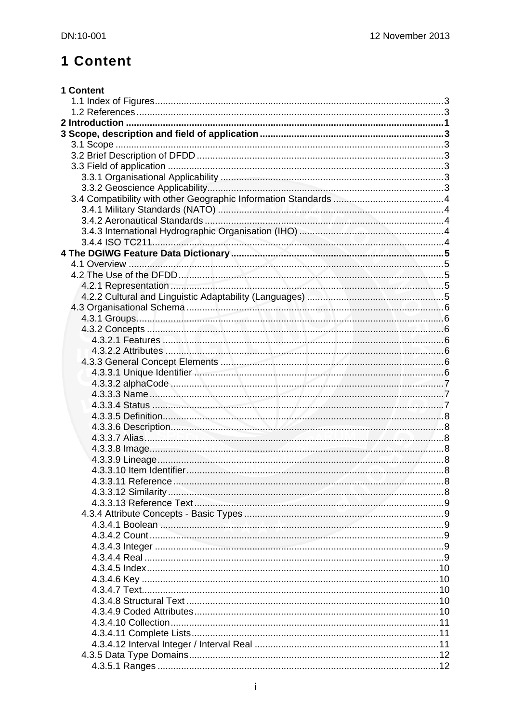# 1 Content

| 1 Content |  |
|-----------|--|
|           |  |
|           |  |
|           |  |
|           |  |
|           |  |
|           |  |
|           |  |
|           |  |
|           |  |
|           |  |
|           |  |
|           |  |
|           |  |
|           |  |
|           |  |
|           |  |
|           |  |
|           |  |
|           |  |
|           |  |
|           |  |
|           |  |
|           |  |
|           |  |
|           |  |
|           |  |
|           |  |
|           |  |
|           |  |
|           |  |
|           |  |
|           |  |
|           |  |
|           |  |
|           |  |
|           |  |
|           |  |
|           |  |
|           |  |
|           |  |
|           |  |
|           |  |
|           |  |
|           |  |
|           |  |
|           |  |
|           |  |
|           |  |
|           |  |
|           |  |
|           |  |
|           |  |
|           |  |
|           |  |
|           |  |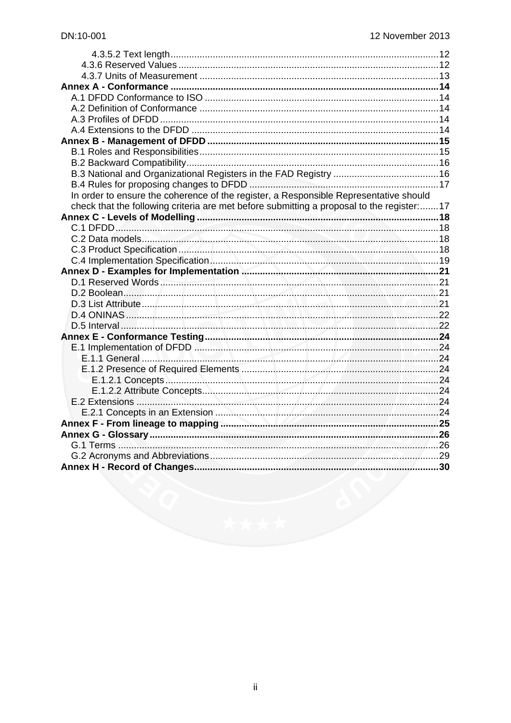| In order to ensure the coherence of the register, a Responsible Representative should     |  |
|-------------------------------------------------------------------------------------------|--|
| check that the following criteria are met before submitting a proposal to the register:17 |  |
|                                                                                           |  |
|                                                                                           |  |
|                                                                                           |  |
|                                                                                           |  |
|                                                                                           |  |
|                                                                                           |  |
|                                                                                           |  |
|                                                                                           |  |
|                                                                                           |  |
|                                                                                           |  |
|                                                                                           |  |
|                                                                                           |  |
|                                                                                           |  |
|                                                                                           |  |
|                                                                                           |  |
|                                                                                           |  |
|                                                                                           |  |
|                                                                                           |  |
|                                                                                           |  |
|                                                                                           |  |
|                                                                                           |  |
|                                                                                           |  |
|                                                                                           |  |
|                                                                                           |  |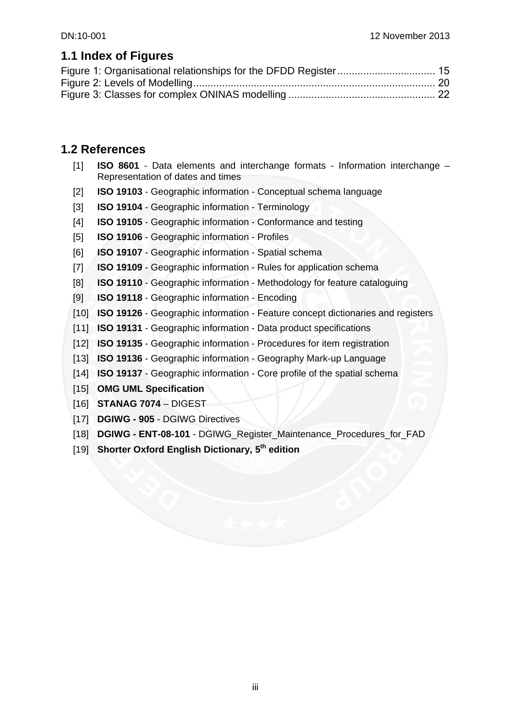## **1.1 Index of Figures**

## **1.2 References**

- [1] **ISO 8601** Data elements and interchange formats Information interchange Representation of dates and times
- [2] **ISO 19103** Geographic information Conceptual schema language
- [3] **ISO 19104**  Geographic information Terminology
- [4] **ISO 19105**  Geographic information Conformance and testing
- [5] **ISO 19106**  Geographic information Profiles
- [6] **ISO 19107**  Geographic information Spatial schema
- [7] **ISO 19109**  Geographic information Rules for application schema
- [8] **ISO 19110**  Geographic information Methodology for feature cataloguing
- [9] **ISO 19118**  Geographic information Encoding
- [10] **ISO 19126**  Geographic information Feature concept dictionaries and registers
- [11] **ISO 19131**  Geographic information Data product specifications
- [12] **ISO 19135**  Geographic information Procedures for item registration
- [13] **ISO 19136**  Geographic information Geography Mark-up Language
- [14] **ISO 19137**  Geographic information Core profile of the spatial schema
- [15] **OMG UML Specification**
- [16] **STANAG 7074** DIGEST
- [17] **DGIWG 905** DGIWG Directives
- [18] **DGIWG ENT-08-101** DGIWG\_Register\_Maintenance\_Procedures\_for\_FAD
- [19] **Shorter Oxford English Dictionary, 5th edition**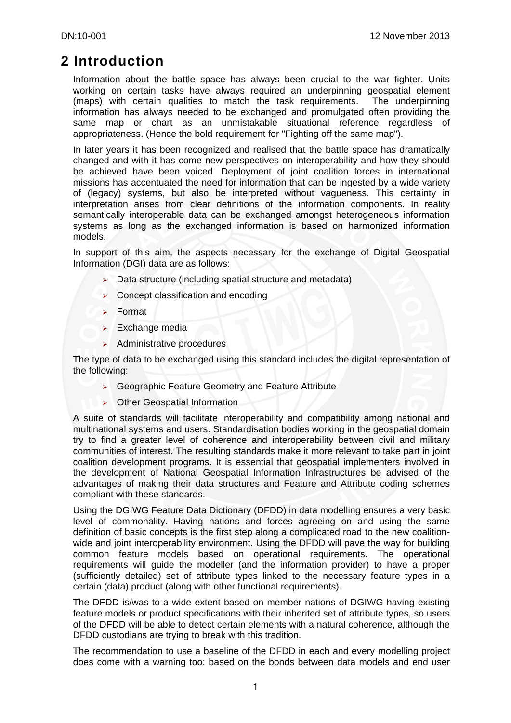## **2 Introduction**

Information about the battle space has always been crucial to the war fighter. Units working on certain tasks have always required an underpinning geospatial element (maps) with certain qualities to match the task requirements. The underpinning information has always needed to be exchanged and promulgated often providing the same map or chart as an unmistakable situational reference regardless of appropriateness. (Hence the bold requirement for "Fighting off the same map").

In later years it has been recognized and realised that the battle space has dramatically changed and with it has come new perspectives on interoperability and how they should be achieved have been voiced. Deployment of joint coalition forces in international missions has accentuated the need for information that can be ingested by a wide variety of (legacy) systems, but also be interpreted without vagueness. This certainty in interpretation arises from clear definitions of the information components. In reality semantically interoperable data can be exchanged amongst heterogeneous information systems as long as the exchanged information is based on harmonized information models.

In support of this aim, the aspects necessary for the exchange of Digital Geospatial Information (DGI) data are as follows:

- $\triangleright$  Data structure (including spatial structure and metadata)
- $\triangleright$  Concept classification and encoding
- $\triangleright$  Format
- $\blacktriangleright$  Exchange media
- $\blacktriangleright$  Administrative procedures

The type of data to be exchanged using this standard includes the digital representation of the following:

- ¾ Geographic Feature Geometry and Feature Attribute
- ¾ Other Geospatial Information

A suite of standards will facilitate interoperability and compatibility among national and multinational systems and users. Standardisation bodies working in the geospatial domain try to find a greater level of coherence and interoperability between civil and military communities of interest. The resulting standards make it more relevant to take part in joint coalition development programs. It is essential that geospatial implementers involved in the development of National Geospatial Information Infrastructures be advised of the advantages of making their data structures and Feature and Attribute coding schemes compliant with these standards.

Using the DGIWG Feature Data Dictionary (DFDD) in data modelling ensures a very basic level of commonality. Having nations and forces agreeing on and using the same definition of basic concepts is the first step along a complicated road to the new coalitionwide and joint interoperability environment. Using the DFDD will pave the way for building common feature models based on operational requirements. The operational requirements will guide the modeller (and the information provider) to have a proper (sufficiently detailed) set of attribute types linked to the necessary feature types in a certain (data) product (along with other functional requirements).

The DFDD is/was to a wide extent based on member nations of DGIWG having existing feature models or product specifications with their inherited set of attribute types, so users of the DFDD will be able to detect certain elements with a natural coherence, although the DFDD custodians are trying to break with this tradition.

The recommendation to use a baseline of the DFDD in each and every modelling project does come with a warning too: based on the bonds between data models and end user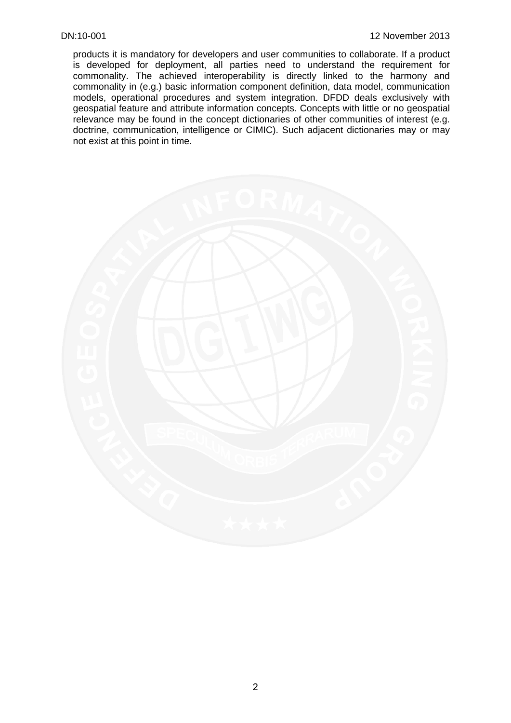products it is mandatory for developers and user communities to collaborate. If a product is developed for deployment, all parties need to understand the requirement for commonality. The achieved interoperability is directly linked to the harmony and commonality in (e.g.) basic information component definition, data model, communication models, operational procedures and system integration. DFDD deals exclusively with geospatial feature and attribute information concepts. Concepts with little or no geospatial relevance may be found in the concept dictionaries of other communities of interest (e.g. doctrine, communication, intelligence or CIMIC). Such adjacent dictionaries may or may not exist at this point in time.

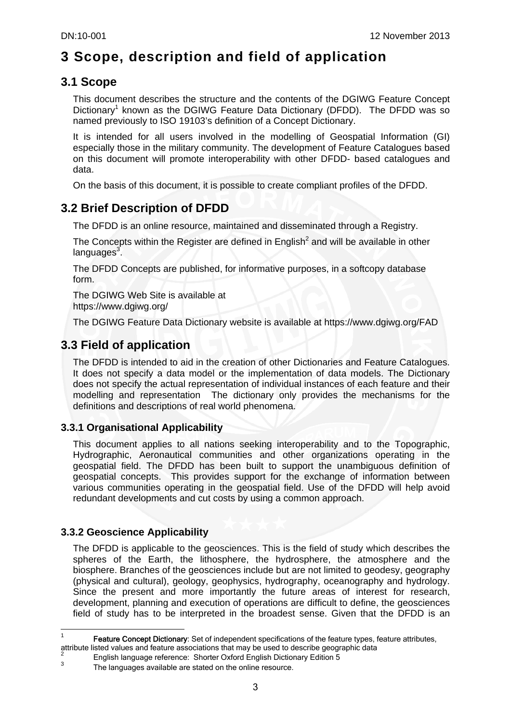# **3 Scope, description and field of application**

## **3.1 Scope**

This document describes the structure and the contents of the DGIWG Feature Concept Dictionary<sup>1</sup> known as the DGIWG Feature Data Dictionary (DFDD). The DFDD was so named previously to ISO 19103's definition of a Concept Dictionary.

It is intended for all users involved in the modelling of Geospatial Information (GI) especially those in the military community. The development of Feature Catalogues based on this document will promote interoperability with other DFDD- based catalogues and data.

On the basis of this document, it is possible to create compliant profiles of the DFDD.

## **3.2 Brief Description of DFDD**

The DFDD is an online resource, maintained and disseminated through a Registry.

The Concepts within the Register are defined in English<sup>2</sup> and will be available in other languages<sup>3</sup>.

The DFDD Concepts are published, for informative purposes, in a softcopy database form.

The DGIWG Web Site is available at https://www.dgiwg.org/

The DGIWG Feature Data Dictionary website is available at https://www.dgiwg.org/FAD

## **3.3 Field of application**

The DFDD is intended to aid in the creation of other Dictionaries and Feature Catalogues. It does not specify a data model or the implementation of data models. The Dictionary does not specify the actual representation of individual instances of each feature and their modelling and representation The dictionary only provides the mechanisms for the definitions and descriptions of real world phenomena.

### **3.3.1 Organisational Applicability**

This document applies to all nations seeking interoperability and to the Topographic, Hydrographic, Aeronautical communities and other organizations operating in the geospatial field. The DFDD has been built to support the unambiguous definition of geospatial concepts. This provides support for the exchange of information between various communities operating in the geospatial field. Use of the DFDD will help avoid redundant developments and cut costs by using a common approach.

### **3.3.2 Geoscience Applicability**

1

The DFDD is applicable to the geosciences. This is the field of study which describes the spheres of the Earth, the lithosphere, the hydrosphere, the atmosphere and the biosphere. Branches of the geosciences include but are not limited to geodesy, geography (physical and cultural), geology, geophysics, hydrography, oceanography and hydrology. Since the present and more importantly the future areas of interest for research, development, planning and execution of operations are difficult to define, the geosciences field of study has to be interpreted in the broadest sense. Given that the DFDD is an

<sup>1</sup> Feature Concept Dictionary: Set of independent specifications of the feature types, feature attributes, attribute listed values and feature associations that may be used to describe geographic data <sup>2</sup>

English language reference: Shorter Oxford English Dictionary Edition 5 3

The languages available are stated on the online resource.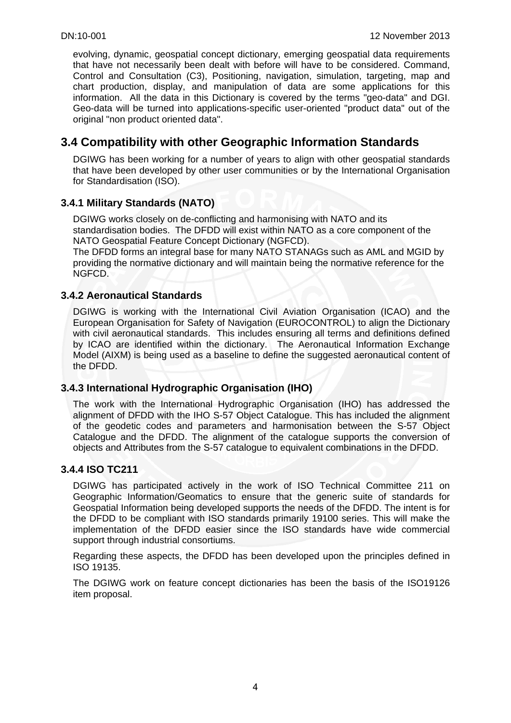evolving, dynamic, geospatial concept dictionary, emerging geospatial data requirements that have not necessarily been dealt with before will have to be considered. Command, Control and Consultation (C3), Positioning, navigation, simulation, targeting, map and chart production, display, and manipulation of data are some applications for this information. All the data in this Dictionary is covered by the terms "geo-data" and DGI. Geo-data will be turned into applications-specific user-oriented "product data" out of the original "non product oriented data".

## **3.4 Compatibility with other Geographic Information Standards**

DGIWG has been working for a number of years to align with other geospatial standards that have been developed by other user communities or by the International Organisation for Standardisation (ISO).

### **3.4.1 Military Standards (NATO)**

DGIWG works closely on de-conflicting and harmonising with NATO and its standardisation bodies. The DFDD will exist within NATO as a core component of the NATO Geospatial Feature Concept Dictionary (NGFCD).

The DFDD forms an integral base for many NATO STANAGs such as AML and MGID by providing the normative dictionary and will maintain being the normative reference for the NGFCD.

#### **3.4.2 Aeronautical Standards**

DGIWG is working with the International Civil Aviation Organisation (ICAO) and the European Organisation for Safety of Navigation (EUROCONTROL) to align the Dictionary with civil aeronautical standards. This includes ensuring all terms and definitions defined by ICAO are identified within the dictionary. The Aeronautical Information Exchange Model (AIXM) is being used as a baseline to define the suggested aeronautical content of the DFDD.

#### **3.4.3 International Hydrographic Organisation (IHO)**

The work with the International Hydrographic Organisation (IHO) has addressed the alignment of DFDD with the IHO S-57 Object Catalogue. This has included the alignment of the geodetic codes and parameters and harmonisation between the S-57 Object Catalogue and the DFDD. The alignment of the catalogue supports the conversion of objects and Attributes from the S-57 catalogue to equivalent combinations in the DFDD.

#### **3.4.4 ISO TC211**

DGIWG has participated actively in the work of ISO Technical Committee 211 on Geographic Information/Geomatics to ensure that the generic suite of standards for Geospatial Information being developed supports the needs of the DFDD. The intent is for the DFDD to be compliant with ISO standards primarily 19100 series. This will make the implementation of the DFDD easier since the ISO standards have wide commercial support through industrial consortiums.

Regarding these aspects, the DFDD has been developed upon the principles defined in ISO 19135.

The DGIWG work on feature concept dictionaries has been the basis of the ISO19126 item proposal.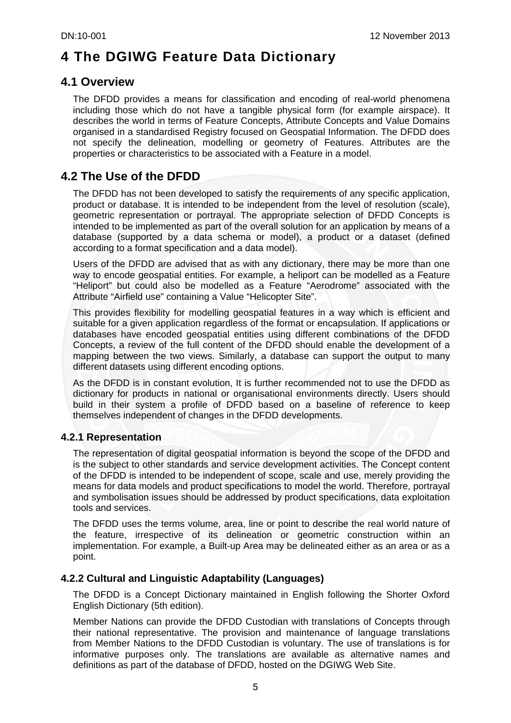# **4 The DGIWG Feature Data Dictionary**

## **4.1 Overview**

The DFDD provides a means for classification and encoding of real-world phenomena including those which do not have a tangible physical form (for example airspace). It describes the world in terms of Feature Concepts, Attribute Concepts and Value Domains organised in a standardised Registry focused on Geospatial Information. The DFDD does not specify the delineation, modelling or geometry of Features. Attributes are the properties or characteristics to be associated with a Feature in a model.

## **4.2 The Use of the DFDD**

The DFDD has not been developed to satisfy the requirements of any specific application, product or database. It is intended to be independent from the level of resolution (scale), geometric representation or portrayal. The appropriate selection of DFDD Concepts is intended to be implemented as part of the overall solution for an application by means of a database (supported by a data schema or model), a product or a dataset (defined according to a format specification and a data model).

Users of the DFDD are advised that as with any dictionary, there may be more than one way to encode geospatial entities. For example, a heliport can be modelled as a Feature "Heliport" but could also be modelled as a Feature "Aerodrome" associated with the Attribute "Airfield use" containing a Value "Helicopter Site".

This provides flexibility for modelling geospatial features in a way which is efficient and suitable for a given application regardless of the format or encapsulation. If applications or databases have encoded geospatial entities using different combinations of the DFDD Concepts, a review of the full content of the DFDD should enable the development of a mapping between the two views. Similarly, a database can support the output to many different datasets using different encoding options.

As the DFDD is in constant evolution, It is further recommended not to use the DFDD as dictionary for products in national or organisational environments directly. Users should build in their system a profile of DFDD based on a baseline of reference to keep themselves independent of changes in the DFDD developments.

### **4.2.1 Representation**

The representation of digital geospatial information is beyond the scope of the DFDD and is the subject to other standards and service development activities. The Concept content of the DFDD is intended to be independent of scope, scale and use, merely providing the means for data models and product specifications to model the world. Therefore, portrayal and symbolisation issues should be addressed by product specifications, data exploitation tools and services.

The DFDD uses the terms volume, area, line or point to describe the real world nature of the feature, irrespective of its delineation or geometric construction within an implementation. For example, a Built-up Area may be delineated either as an area or as a point.

#### **4.2.2 Cultural and Linguistic Adaptability (Languages)**

The DFDD is a Concept Dictionary maintained in English following the Shorter Oxford English Dictionary (5th edition).

Member Nations can provide the DFDD Custodian with translations of Concepts through their national representative. The provision and maintenance of language translations from Member Nations to the DFDD Custodian is voluntary. The use of translations is for informative purposes only. The translations are available as alternative names and definitions as part of the database of DFDD, hosted on the DGIWG Web Site.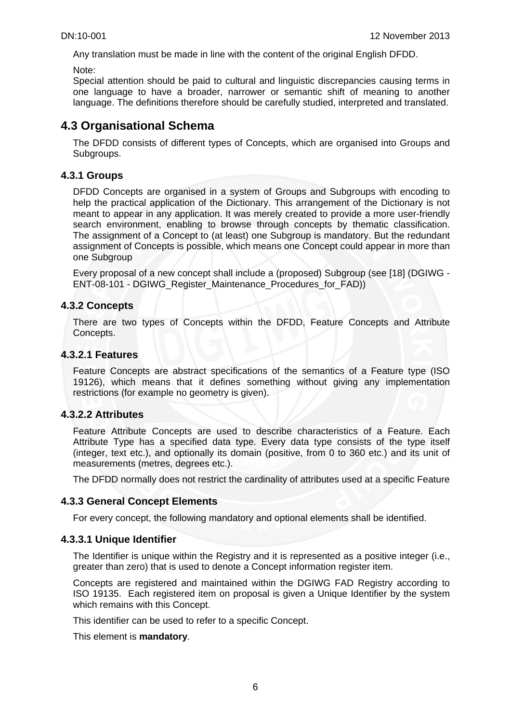Any translation must be made in line with the content of the original English DFDD.

Note:

Special attention should be paid to cultural and linguistic discrepancies causing terms in one language to have a broader, narrower or semantic shift of meaning to another language. The definitions therefore should be carefully studied, interpreted and translated.

## **4.3 Organisational Schema**

The DFDD consists of different types of Concepts, which are organised into Groups and Subgroups.

#### **4.3.1 Groups**

DFDD Concepts are organised in a system of Groups and Subgroups with encoding to help the practical application of the Dictionary. This arrangement of the Dictionary is not meant to appear in any application. It was merely created to provide a more user-friendly search environment, enabling to browse through concepts by thematic classification. The assignment of a Concept to (at least) one Subgroup is mandatory. But the redundant assignment of Concepts is possible, which means one Concept could appear in more than one Subgroup

Every proposal of a new concept shall include a (proposed) Subgroup (see [18] (DGIWG - ENT-08-101 - DGIWG\_Register\_Maintenance\_Procedures\_for\_FAD))

#### **4.3.2 Concepts**

There are two types of Concepts within the DFDD, Feature Concepts and Attribute Concepts.

#### **4.3.2.1 Features**

Feature Concepts are abstract specifications of the semantics of a Feature type (ISO 19126), which means that it defines something without giving any implementation restrictions (for example no geometry is given).

#### **4.3.2.2 Attributes**

Feature Attribute Concepts are used to describe characteristics of a Feature. Each Attribute Type has a specified data type. Every data type consists of the type itself (integer, text etc.), and optionally its domain (positive, from 0 to 360 etc.) and its unit of measurements (metres, degrees etc.).

The DFDD normally does not restrict the cardinality of attributes used at a specific Feature

#### **4.3.3 General Concept Elements**

For every concept, the following mandatory and optional elements shall be identified.

#### **4.3.3.1 Unique Identifier**

The Identifier is unique within the Registry and it is represented as a positive integer (i.e., greater than zero) that is used to denote a Concept information register item.

Concepts are registered and maintained within the DGIWG FAD Registry according to ISO 19135. Each registered item on proposal is given a Unique Identifier by the system which remains with this Concept.

This identifier can be used to refer to a specific Concept.

This element is **mandatory**.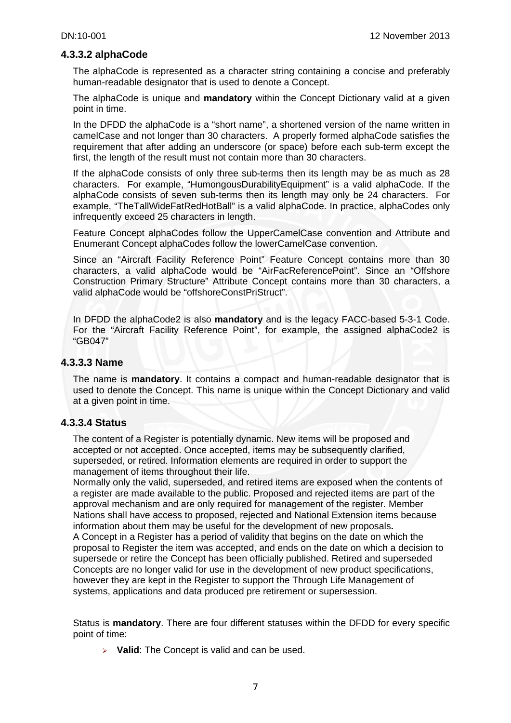#### **4.3.3.2 alphaCode**

The alphaCode is represented as a character string containing a concise and preferably human-readable designator that is used to denote a Concept.

The alphaCode is unique and **mandatory** within the Concept Dictionary valid at a given point in time.

In the DFDD the alphaCode is a "short name", a shortened version of the name written in camelCase and not longer than 30 characters. A properly formed alphaCode satisfies the requirement that after adding an underscore (or space) before each sub-term except the first, the length of the result must not contain more than 30 characters.

If the alphaCode consists of only three sub-terms then its length may be as much as 28 characters. For example, "HumongousDurabilityEquipment" is a valid alphaCode. If the alphaCode consists of seven sub-terms then its length may only be 24 characters. For example, "TheTallWideFatRedHotBall" is a valid alphaCode. In practice, alphaCodes only infrequently exceed 25 characters in length.

Feature Concept alphaCodes follow the UpperCamelCase convention and Attribute and Enumerant Concept alphaCodes follow the lowerCamelCase convention.

Since an "Aircraft Facility Reference Point" Feature Concept contains more than 30 characters, a valid alphaCode would be "AirFacReferencePoint". Since an "Offshore Construction Primary Structure" Attribute Concept contains more than 30 characters, a valid alphaCode would be "offshoreConstPriStruct".

In DFDD the alphaCode2 is also **mandatory** and is the legacy FACC-based 5-3-1 Code. For the "Aircraft Facility Reference Point", for example, the assigned alphaCode2 is "GB047"

#### **4.3.3.3 Name**

The name is **mandatory**. It contains a compact and human-readable designator that is used to denote the Concept. This name is unique within the Concept Dictionary and valid at a given point in time.

#### **4.3.3.4 Status**

The content of a Register is potentially dynamic. New items will be proposed and accepted or not accepted. Once accepted, items may be subsequently clarified, superseded, or retired. Information elements are required in order to support the management of items throughout their life.

Normally only the valid, superseded, and retired items are exposed when the contents of a register are made available to the public. Proposed and rejected items are part of the approval mechanism and are only required for management of the register. Member Nations shall have access to proposed, rejected and National Extension items because information about them may be useful for the development of new proposals**.** A Concept in a Register has a period of validity that begins on the date on which the proposal to Register the item was accepted, and ends on the date on which a decision to supersede or retire the Concept has been officially published. Retired and superseded Concepts are no longer valid for use in the development of new product specifications, however they are kept in the Register to support the Through Life Management of systems, applications and data produced pre retirement or supersession.

Status is **mandatory**. There are four different statuses within the DFDD for every specific point of time:

¾ **Valid**: The Concept is valid and can be used.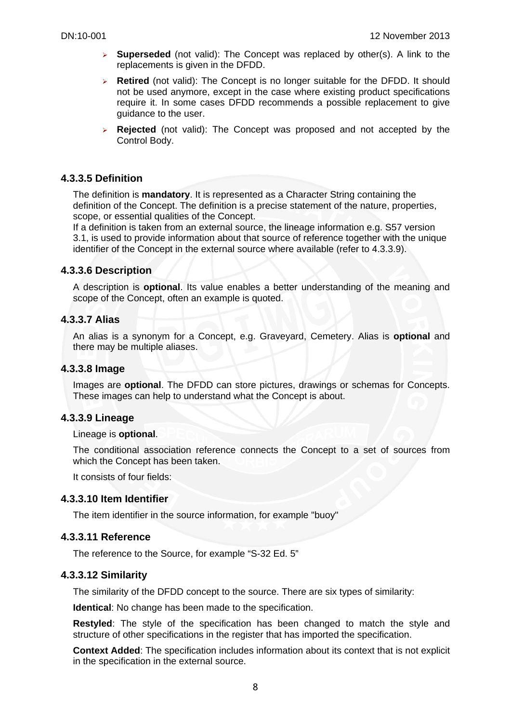- ¾ **Superseded** (not valid): The Concept was replaced by other(s). A link to the replacements is given in the DFDD.
- ¾ **Retired** (not valid): The Concept is no longer suitable for the DFDD. It should not be used anymore, except in the case where existing product specifications require it. In some cases DFDD recommends a possible replacement to give guidance to the user.
- ¾ **Rejected** (not valid): The Concept was proposed and not accepted by the Control Body.

#### **4.3.3.5 Definition**

The definition is **mandatory**. It is represented as a Character String containing the definition of the Concept. The definition is a precise statement of the nature, properties, scope, or essential qualities of the Concept.

If a definition is taken from an external source, the lineage information e.g. S57 version 3.1, is used to provide information about that source of reference together with the unique identifier of the Concept in the external source where available (refer to 4.3.3.9).

#### **4.3.3.6 Description**

A description is **optional**. Its value enables a better understanding of the meaning and scope of the Concept, often an example is quoted.

#### **4.3.3.7 Alias**

An alias is a synonym for a Concept, e.g. Graveyard, Cemetery. Alias is **optional** and there may be multiple aliases.

#### **4.3.3.8 Image**

Images are **optional**. The DFDD can store pictures, drawings or schemas for Concepts. These images can help to understand what the Concept is about.

#### **4.3.3.9 Lineage**

#### Lineage is **optional**.

The conditional association reference connects the Concept to a set of sources from which the Concept has been taken.

It consists of four fields:

#### **4.3.3.10 Item Identifier**

The item identifier in the source information, for example "buoy"

#### **4.3.3.11 Reference**

The reference to the Source, for example "S-32 Ed. 5"

#### **4.3.3.12 Similarity**

The similarity of the DFDD concept to the source. There are six types of similarity:

**Identical**: No change has been made to the specification.

**Restyled**: The style of the specification has been changed to match the style and structure of other specifications in the register that has imported the specification.

**Context Added**: The specification includes information about its context that is not explicit in the specification in the external source.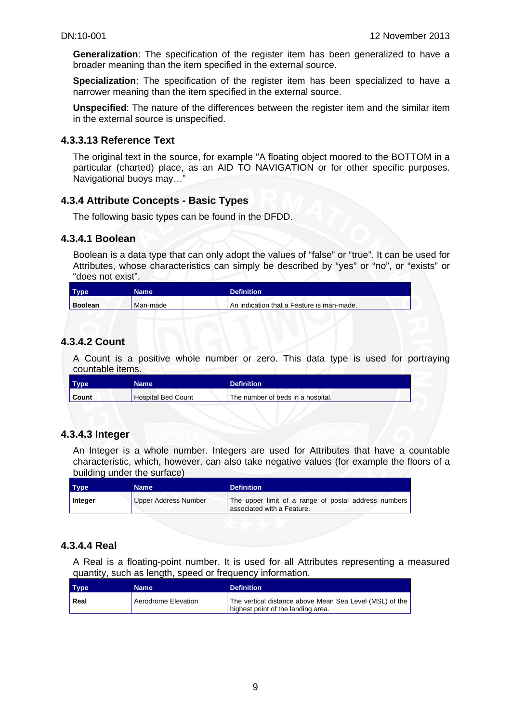**Generalization**: The specification of the register item has been generalized to have a broader meaning than the item specified in the external source.

**Specialization**: The specification of the register item has been specialized to have a narrower meaning than the item specified in the external source.

**Unspecified**: The nature of the differences between the register item and the similar item in the external source is unspecified.

#### **4.3.3.13 Reference Text**

The original text in the source, for example "A floating object moored to the BOTTOM in a particular (charted) place, as an AID TO NAVIGATION or for other specific purposes. Navigational buoys may…"

#### **4.3.4 Attribute Concepts - Basic Types**

The following basic types can be found in the DFDD.

#### **4.3.4.1 Boolean**

Boolean is a data type that can only adopt the values of "false" or "true". It can be used for Attributes, whose characteristics can simply be described by "yes" or "no", or "exists" or "does not exist".

| <b>Type</b>    | <b>Name</b> | <b>Definition</b>                         |
|----------------|-------------|-------------------------------------------|
| <b>Boolean</b> | Man-made    | An indication that a Feature is man-made. |

#### **4.3.4.2 Count**

A Count is a positive whole number or zero. This data type is used for portraying countable items.

| <b>Type</b> | Name                      | <b>Definition</b>                 |  |
|-------------|---------------------------|-----------------------------------|--|
| Count       | <b>Hospital Bed Count</b> | The number of beds in a hospital. |  |

#### **4.3.4.3 Integer**

An Integer is a whole number. Integers are used for Attributes that have a countable characteristic, which, however, can also take negative values (for example the floors of a building under the surface)

| <b>Type</b> | Name \                      | <b>Definition</b>                                                                  |
|-------------|-----------------------------|------------------------------------------------------------------------------------|
| Integer     | <b>Upper Address Number</b> | The upper limit of a range of postal address numbers<br>associated with a Feature. |

#### **4.3.4.4 Real**

A Real is a floating-point number. It is used for all Attributes representing a measured quantity, such as length, speed or frequency information.

| <b>Type</b> | <b>Name</b>         | <b>Definition</b>                                                                             |
|-------------|---------------------|-----------------------------------------------------------------------------------------------|
| Real        | Aerodrome Elevation | The vertical distance above Mean Sea Level (MSL) of the<br>highest point of the landing area. |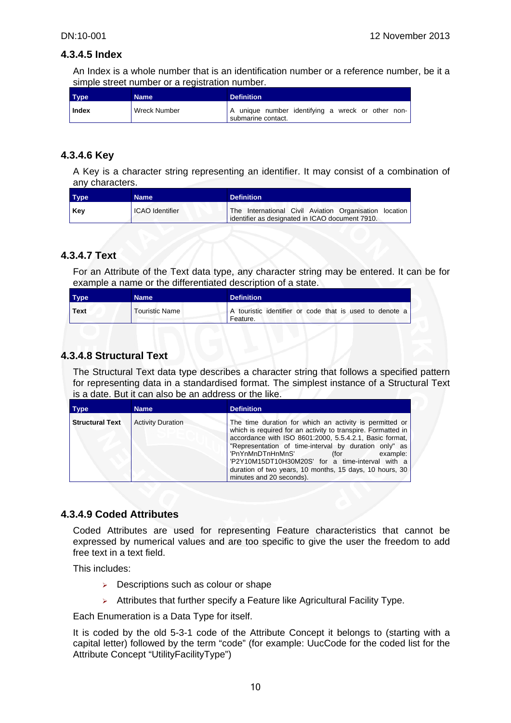#### **4.3.4.5 Index**

An Index is a whole number that is an identification number or a reference number, be it a simple street number or a registration number.

| <b>Type</b> | <b>Name</b>  | <b>Definition</b>                                                       |
|-------------|--------------|-------------------------------------------------------------------------|
| Index       | Wreck Number | A unique number identifying a wreck or other non-<br>submarine contact. |

#### **4.3.4.6 Key**

A Key is a character string representing an identifier. It may consist of a combination of any characters.

| <b>Type</b> | Name                   | <b>Definition</b>                                                                                         |
|-------------|------------------------|-----------------------------------------------------------------------------------------------------------|
| Key         | <b>ICAO</b> Identifier | The International Civil Aviation Organisation location<br>identifier as designated in ICAO document 7910. |

### **4.3.4.7 Text**

For an Attribute of the Text data type, any character string may be entered. It can be for example a name or the differentiated description of a state.

| Type        | Name                  | <b>Definition</b>                                                   |
|-------------|-----------------------|---------------------------------------------------------------------|
| <b>Text</b> | <b>Touristic Name</b> | A touristic identifier or code that is used to denote a<br>Feature. |

#### **4.3.4.8 Structural Text**

The Structural Text data type describes a character string that follows a specified pattern for representing data in a standardised format. The simplest instance of a Structural Text is a date. But it can also be an address or the like.

| <b>Type</b>            | <b>Name</b>              | <b>Definition</b>                                                                                                                                                                                                                                                                                                                                                                                                              |
|------------------------|--------------------------|--------------------------------------------------------------------------------------------------------------------------------------------------------------------------------------------------------------------------------------------------------------------------------------------------------------------------------------------------------------------------------------------------------------------------------|
| <b>Structural Text</b> | <b>Activity Duration</b> | The time duration for which an activity is permitted or<br>which is required for an activity to transpire. Formatted in<br>accordance with ISO 8601:2000, 5.5.4.2.1, Basic format,<br>"Representation of time-interval by duration only" as<br>'PnYnMnDTnHnMnS'<br>(for<br>example:<br>'P2Y10M15DT10H30M20S' for a time-interval with a<br>duration of two years, 10 months, 15 days, 10 hours, 30<br>minutes and 20 seconds). |

#### **4.3.4.9 Coded Attributes**

Coded Attributes are used for representing Feature characteristics that cannot be expressed by numerical values and are too specific to give the user the freedom to add free text in a text field.

This includes:

- $\geq$  Descriptions such as colour or shape
- $\triangleright$  Attributes that further specify a Feature like Agricultural Facility Type.

Each Enumeration is a Data Type for itself.

It is coded by the old 5-3-1 code of the Attribute Concept it belongs to (starting with a capital letter) followed by the term "code" (for example: UucCode for the coded list for the Attribute Concept "UtilityFacilityType")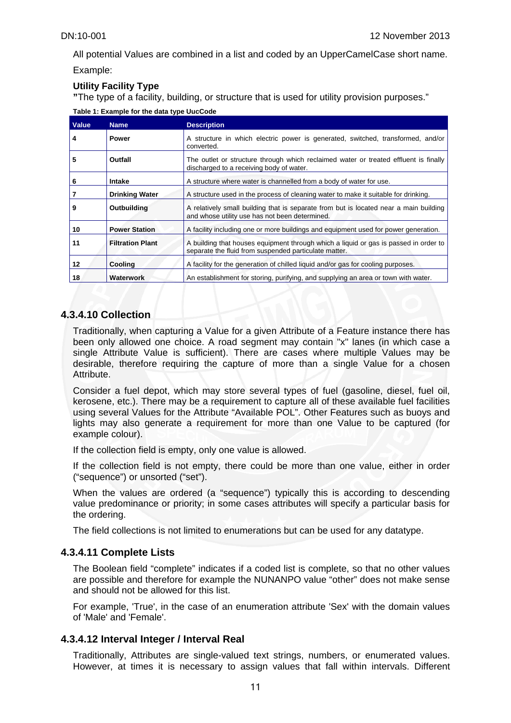All potential Values are combined in a list and coded by an UpperCamelCase short name.

Example:

#### **Utility Facility Type**

**"**The type of a facility, building, or structure that is used for utility provision purposes."

**Table 1: Example for the data type UucCode** 

| <b>Value</b> | <b>Name</b>             | <b>Description</b>                                                                                                                            |  |  |
|--------------|-------------------------|-----------------------------------------------------------------------------------------------------------------------------------------------|--|--|
| 4            | <b>Power</b>            | A structure in which electric power is generated, switched, transformed, and/or<br>converted.                                                 |  |  |
| 5            | Outfall                 | The outlet or structure through which reclaimed water or treated effluent is finally<br>discharged to a receiving body of water.              |  |  |
| 6            | Intake                  | A structure where water is channelled from a body of water for use.                                                                           |  |  |
|              | <b>Drinking Water</b>   | A structure used in the process of cleaning water to make it suitable for drinking.                                                           |  |  |
| 9            | Outbuilding             | A relatively small building that is separate from but is located near a main building<br>and whose utility use has not been determined.       |  |  |
| 10           | <b>Power Station</b>    | A facility including one or more buildings and equipment used for power generation.                                                           |  |  |
| 11           | <b>Filtration Plant</b> | A building that houses equipment through which a liquid or gas is passed in order to<br>separate the fluid from suspended particulate matter. |  |  |
| $12 \,$      | <b>Cooling</b>          | A facility for the generation of chilled liquid and/or gas for cooling purposes.                                                              |  |  |
| 18           | <b>Waterwork</b>        | An establishment for storing, purifying, and supplying an area or town with water.                                                            |  |  |

#### **4.3.4.10 Collection**

Traditionally, when capturing a Value for a given Attribute of a Feature instance there has been only allowed one choice. A road segment may contain "x" lanes (in which case a single Attribute Value is sufficient). There are cases where multiple Values may be desirable, therefore requiring the capture of more than a single Value for a chosen Attribute.

Consider a fuel depot, which may store several types of fuel (gasoline, diesel, fuel oil, kerosene, etc.). There may be a requirement to capture all of these available fuel facilities using several Values for the Attribute "Available POL". Other Features such as buoys and lights may also generate a requirement for more than one Value to be captured (for example colour).

If the collection field is empty, only one value is allowed.

If the collection field is not empty, there could be more than one value, either in order ("sequence") or unsorted ("set").

When the values are ordered (a "sequence") typically this is according to descending value predominance or priority; in some cases attributes will specify a particular basis for the ordering.

The field collections is not limited to enumerations but can be used for any datatype.

#### **4.3.4.11 Complete Lists**

The Boolean field "complete" indicates if a coded list is complete, so that no other values are possible and therefore for example the NUNANPO value "other" does not make sense and should not be allowed for this list.

For example, 'True', in the case of an enumeration attribute 'Sex' with the domain values of 'Male' and 'Female'.

#### **4.3.4.12 Interval Integer / Interval Real**

Traditionally, Attributes are single-valued text strings, numbers, or enumerated values. However, at times it is necessary to assign values that fall within intervals. Different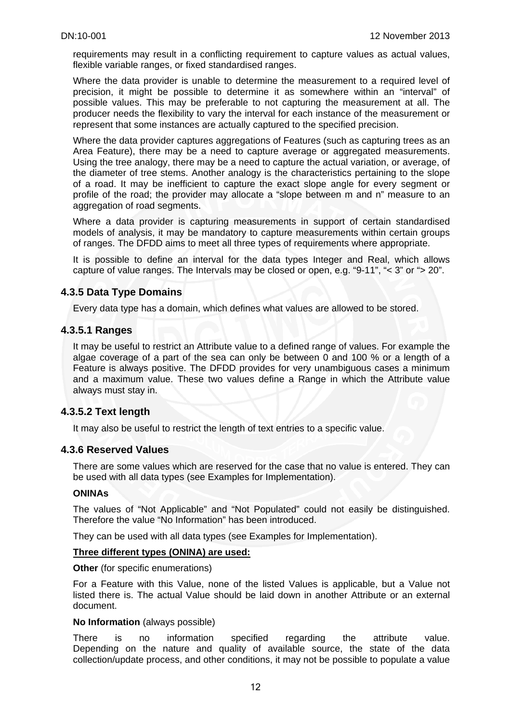requirements may result in a conflicting requirement to capture values as actual values, flexible variable ranges, or fixed standardised ranges.

Where the data provider is unable to determine the measurement to a required level of precision, it might be possible to determine it as somewhere within an "interval" of possible values. This may be preferable to not capturing the measurement at all. The producer needs the flexibility to vary the interval for each instance of the measurement or represent that some instances are actually captured to the specified precision.

Where the data provider captures aggregations of Features (such as capturing trees as an Area Feature), there may be a need to capture average or aggregated measurements. Using the tree analogy, there may be a need to capture the actual variation, or average, of the diameter of tree stems. Another analogy is the characteristics pertaining to the slope of a road. It may be inefficient to capture the exact slope angle for every segment or profile of the road; the provider may allocate a "slope between m and n" measure to an aggregation of road segments.

Where a data provider is capturing measurements in support of certain standardised models of analysis, it may be mandatory to capture measurements within certain groups of ranges. The DFDD aims to meet all three types of requirements where appropriate.

It is possible to define an interval for the data types Integer and Real, which allows capture of value ranges. The Intervals may be closed or open, e.g. "9-11", "< 3" or "> 20".

#### **4.3.5 Data Type Domains**

Every data type has a domain, which defines what values are allowed to be stored.

#### **4.3.5.1 Ranges**

It may be useful to restrict an Attribute value to a defined range of values. For example the algae coverage of a part of the sea can only be between 0 and 100 % or a length of a Feature is always positive. The DFDD provides for very unambiguous cases a minimum and a maximum value. These two values define a Range in which the Attribute value always must stay in.

#### **4.3.5.2 Text length**

It may also be useful to restrict the length of text entries to a specific value.

#### **4.3.6 Reserved Values**

There are some values which are reserved for the case that no value is entered. They can be used with all data types (see Examples for Implementation).

#### **ONINAs**

The values of "Not Applicable" and "Not Populated" could not easily be distinguished. Therefore the value "No Information" has been introduced.

They can be used with all data types (see Examples for Implementation).

#### **Three different types (ONINA) are used:**

#### **Other** (for specific enumerations)

For a Feature with this Value, none of the listed Values is applicable, but a Value not listed there is. The actual Value should be laid down in another Attribute or an external document.

#### **No Information** (always possible)

There is no information specified regarding the attribute value. Depending on the nature and quality of available source, the state of the data collection/update process, and other conditions, it may not be possible to populate a value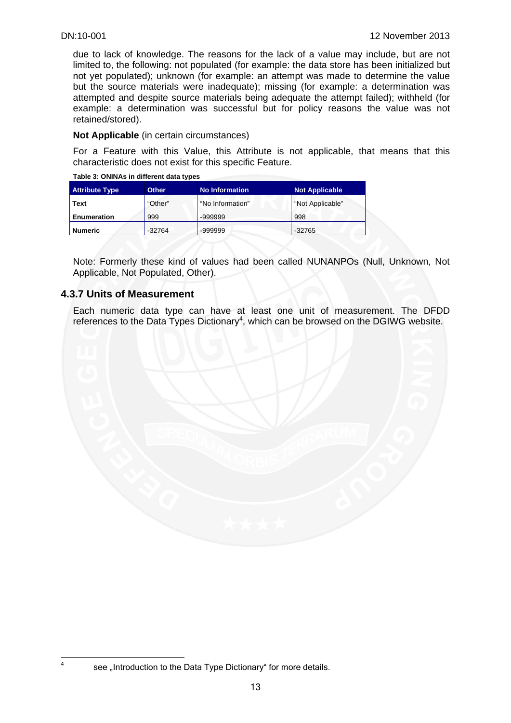due to lack of knowledge. The reasons for the lack of a value may include, but are not limited to, the following: not populated (for example: the data store has been initialized but not yet populated); unknown (for example: an attempt was made to determine the value but the source materials were inadequate); missing (for example: a determination was attempted and despite source materials being adequate the attempt failed); withheld (for example: a determination was successful but for policy reasons the value was not retained/stored).

**Not Applicable** (in certain circumstances)

For a Feature with this Value, this Attribute is not applicable, that means that this characteristic does not exist for this specific Feature.

| , apic 0. ONINAS III alliciani aala lypco |              |                       |                       |  |
|-------------------------------------------|--------------|-----------------------|-----------------------|--|
| <b>Attribute Type</b>                     | <b>Other</b> | <b>No Information</b> | <b>Not Applicable</b> |  |
| Text                                      | "Other"      | "No Information"      | "Not Applicable"      |  |
| 999<br><b>Enumeration</b>                 |              | $-9999999$            | 998                   |  |
| Numeric                                   | $-32764$     | -999999               | $-32765$              |  |

**Table 3: ONINAs in different data types** 

Note: Formerly these kind of values had been called NUNANPOs (Null, Unknown, Not Applicable, Not Populated, Other).

#### **4.3.7 Units of Measurement**

 $\frac{1}{4}$ 

Each numeric data type can have at least one unit of measurement. The DFDD references to the Data Types Dictionary<sup>4</sup>, which can be browsed on the DGIWG website.



see "Introduction to the Data Type Dictionary" for more details.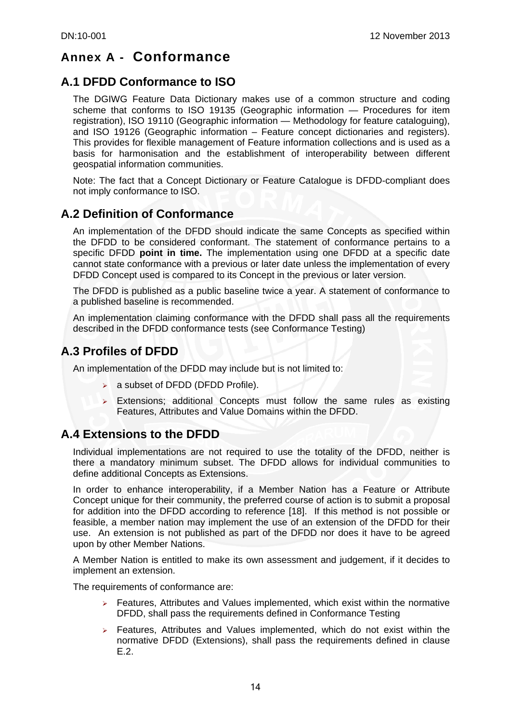## **Annex A - Conformance**

## **A.1 DFDD Conformance to ISO**

The DGIWG Feature Data Dictionary makes use of a common structure and coding scheme that conforms to ISO 19135 (Geographic information — Procedures for item registration), ISO 19110 (Geographic information — Methodology for feature cataloguing), and ISO 19126 (Geographic information – Feature concept dictionaries and registers). This provides for flexible management of Feature information collections and is used as a basis for harmonisation and the establishment of interoperability between different geospatial information communities.

Note: The fact that a Concept Dictionary or Feature Catalogue is DFDD-compliant does not imply conformance to ISO.

## **A.2 Definition of Conformance**

An implementation of the DFDD should indicate the same Concepts as specified within the DFDD to be considered conformant. The statement of conformance pertains to a specific DFDD **point in time.** The implementation using one DFDD at a specific date cannot state conformance with a previous or later date unless the implementation of every DFDD Concept used is compared to its Concept in the previous or later version.

The DFDD is published as a public baseline twice a year. A statement of conformance to a published baseline is recommended.

An implementation claiming conformance with the DFDD shall pass all the requirements described in the DFDD conformance tests (see Conformance Testing)

## **A.3 Profiles of DFDD**

An implementation of the DFDD may include but is not limited to:

- $\triangleright$  a subset of DFDD (DFDD Profile).
- $\triangleright$  Extensions; additional Concepts must follow the same rules as existing Features, Attributes and Value Domains within the DFDD.

## **A.4 Extensions to the DFDD**

Individual implementations are not required to use the totality of the DFDD, neither is there a mandatory minimum subset. The DFDD allows for individual communities to define additional Concepts as Extensions.

In order to enhance interoperability, if a Member Nation has a Feature or Attribute Concept unique for their community, the preferred course of action is to submit a proposal for addition into the DFDD according to reference [18]. If this method is not possible or feasible, a member nation may implement the use of an extension of the DFDD for their use. An extension is not published as part of the DFDD nor does it have to be agreed upon by other Member Nations.

A Member Nation is entitled to make its own assessment and judgement, if it decides to implement an extension.

The requirements of conformance are:

- $\triangleright$  Features, Attributes and Values implemented, which exist within the normative DFDD, shall pass the requirements defined in Conformance Testing
- $\triangleright$  Features, Attributes and Values implemented, which do not exist within the normative DFDD (Extensions), shall pass the requirements defined in clause E.2.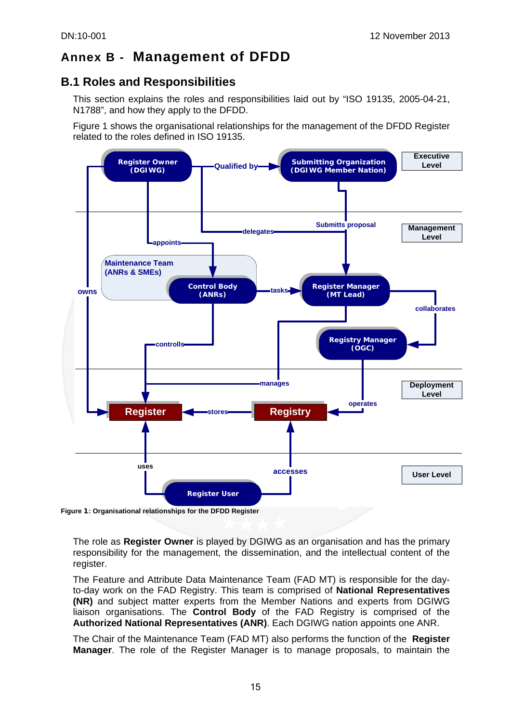## **Annex B - Management of DFDD**

## **B.1 Roles and Responsibilities**

This section explains the roles and responsibilities laid out by "ISO 19135, 2005-04-21, N1788", and how they apply to the DFDD.

Figure 1 shows the organisational relationships for the management of the DFDD Register related to the roles defined in ISO 19135.



```
Figure 1: Organisational relationships for the DFDD Register
```
The role as **Register Owner** is played by DGIWG as an organisation and has the primary responsibility for the management, the dissemination, and the intellectual content of the register.

The Feature and Attribute Data Maintenance Team (FAD MT) is responsible for the dayto-day work on the FAD Registry. This team is comprised of **National Representatives (NR)** and subject matter experts from the Member Nations and experts from DGIWG liaison organisations. The **Control Body** of the FAD Registry is comprised of the **Authorized National Representatives (ANR)**. Each DGIWG nation appoints one ANR.

The Chair of the Maintenance Team (FAD MT) also performs the function of the **Register Manager**. The role of the Register Manager is to manage proposals, to maintain the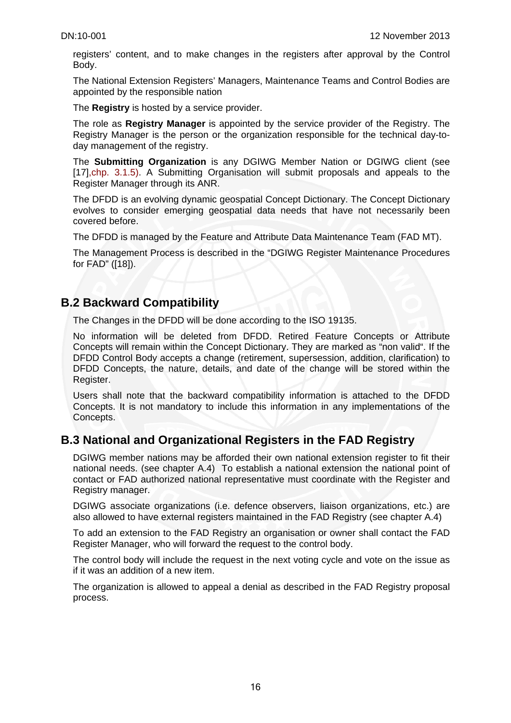registers' content, and to make changes in the registers after approval by the Control Body.

The National Extension Registers' Managers, Maintenance Teams and Control Bodies are appointed by the responsible nation

The **Registry** is hosted by a service provider.

The role as **Registry Manager** is appointed by the service provider of the Registry. The Registry Manager is the person or the organization responsible for the technical day-today management of the registry.

The **Submitting Organization** is any DGIWG Member Nation or DGIWG client (see [17], chp. 3.1.5). A Submitting Organisation will submit proposals and appeals to the Register Manager through its ANR.

The DFDD is an evolving dynamic geospatial Concept Dictionary. The Concept Dictionary evolves to consider emerging geospatial data needs that have not necessarily been covered before.

The DFDD is managed by the Feature and Attribute Data Maintenance Team (FAD MT).

The Management Process is described in the "DGIWG Register Maintenance Procedures for FAD" ([18]).

### **B.2 Backward Compatibility**

The Changes in the DFDD will be done according to the ISO 19135.

No information will be deleted from DFDD. Retired Feature Concepts or Attribute Concepts will remain within the Concept Dictionary. They are marked as "non valid". If the DFDD Control Body accepts a change (retirement, supersession, addition, clarification) to DFDD Concepts, the nature, details, and date of the change will be stored within the Register.

Users shall note that the backward compatibility information is attached to the DFDD Concepts. It is not mandatory to include this information in any implementations of the Concepts.

## **B.3 National and Organizational Registers in the FAD Registry**

DGIWG member nations may be afforded their own national extension register to fit their national needs. (see chapter A.4) To establish a national extension the national point of contact or FAD authorized national representative must coordinate with the Register and Registry manager.

DGIWG associate organizations (i.e. defence observers, liaison organizations, etc.) are also allowed to have external registers maintained in the FAD Registry (see chapter A.4)

To add an extension to the FAD Registry an organisation or owner shall contact the FAD Register Manager, who will forward the request to the control body.

The control body will include the request in the next voting cycle and vote on the issue as if it was an addition of a new item.

The organization is allowed to appeal a denial as described in the FAD Registry proposal process.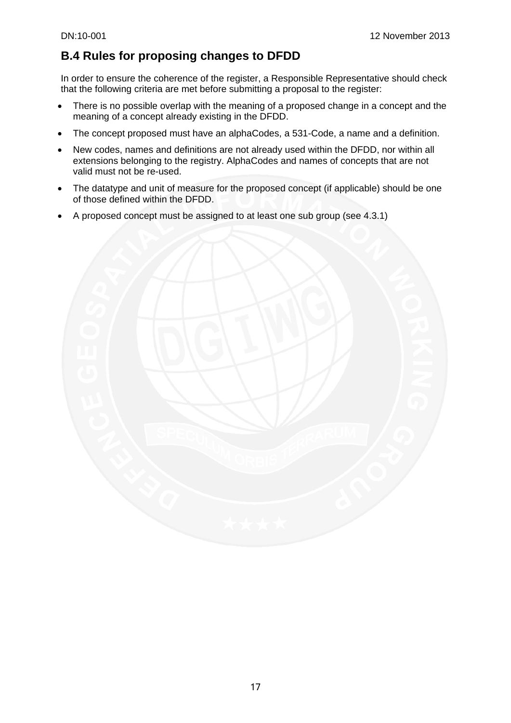## **B.4 Rules for proposing changes to DFDD**

In order to ensure the coherence of the register, a Responsible Representative should check that the following criteria are met before submitting a proposal to the register:

- There is no possible overlap with the meaning of a proposed change in a concept and the meaning of a concept already existing in the DFDD.
- The concept proposed must have an alphaCodes, a 531-Code, a name and a definition.
- New codes, names and definitions are not already used within the DFDD, nor within all extensions belonging to the registry. AlphaCodes and names of concepts that are not valid must not be re-used.
- The datatype and unit of measure for the proposed concept (if applicable) should be one of those defined within the DFDD.
- A proposed concept must be assigned to at least one sub group (see 4.3.1)

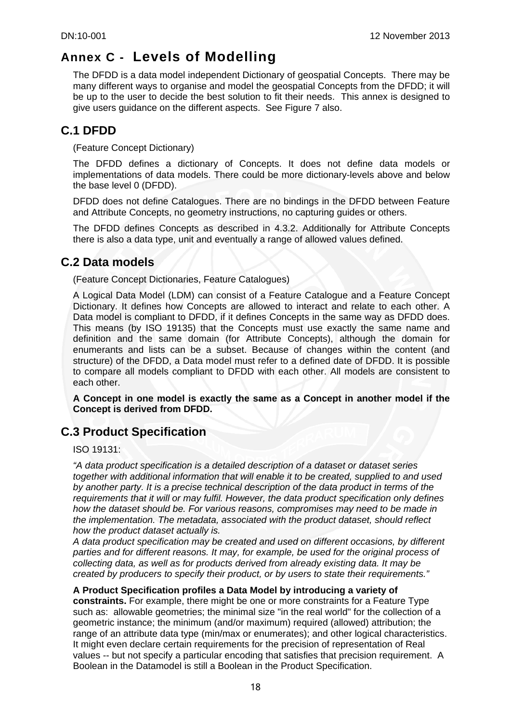## **Annex C - Levels of Modelling**

The DFDD is a data model independent Dictionary of geospatial Concepts. There may be many different ways to organise and model the geospatial Concepts from the DFDD; it will be up to the user to decide the best solution to fit their needs. This annex is designed to give users guidance on the different aspects. See Figure 7 also.

## **C.1 DFDD**

(Feature Concept Dictionary)

The DFDD defines a dictionary of Concepts. It does not define data models or implementations of data models. There could be more dictionary-levels above and below the base level 0 (DFDD).

DFDD does not define Catalogues. There are no bindings in the DFDD between Feature and Attribute Concepts, no geometry instructions, no capturing guides or others.

The DFDD defines Concepts as described in 4.3.2. Additionally for Attribute Concepts there is also a data type, unit and eventually a range of allowed values defined.

## **C.2 Data models**

(Feature Concept Dictionaries, Feature Catalogues)

A Logical Data Model (LDM) can consist of a Feature Catalogue and a Feature Concept Dictionary. It defines how Concepts are allowed to interact and relate to each other. A Data model is compliant to DFDD, if it defines Concepts in the same way as DFDD does. This means (by ISO 19135) that the Concepts must use exactly the same name and definition and the same domain (for Attribute Concepts), although the domain for enumerants and lists can be a subset. Because of changes within the content (and structure) of the DFDD, a Data model must refer to a defined date of DFDD. It is possible to compare all models compliant to DFDD with each other. All models are consistent to each other.

**A Concept in one model is exactly the same as a Concept in another model if the Concept is derived from DFDD.** 

## **C.3 Product Specification**

ISO 19131:

*"A data product specification is a detailed description of a dataset or dataset series together with additional information that will enable it to be created, supplied to and used by another party. It is a precise technical description of the data product in terms of the requirements that it will or may fulfil. However, the data product specification only defines how the dataset should be. For various reasons, compromises may need to be made in the implementation. The metadata, associated with the product dataset, should reflect how the product dataset actually is.* 

*A data product specification may be created and used on different occasions, by different parties and for different reasons. It may, for example, be used for the original process of collecting data, as well as for products derived from already existing data. It may be created by producers to specify their product, or by users to state their requirements."* 

#### **A Product Specification profiles a Data Model by introducing a variety of**

**constraints.** For example, there might be one or more constraints for a Feature Type such as: allowable geometries; the minimal size "in the real world" for the collection of a geometric instance; the minimum (and/or maximum) required (allowed) attribution; the range of an attribute data type (min/max or enumerates); and other logical characteristics. It might even declare certain requirements for the precision of representation of Real values -- but not specify a particular encoding that satisfies that precision requirement. A Boolean in the Datamodel is still a Boolean in the Product Specification.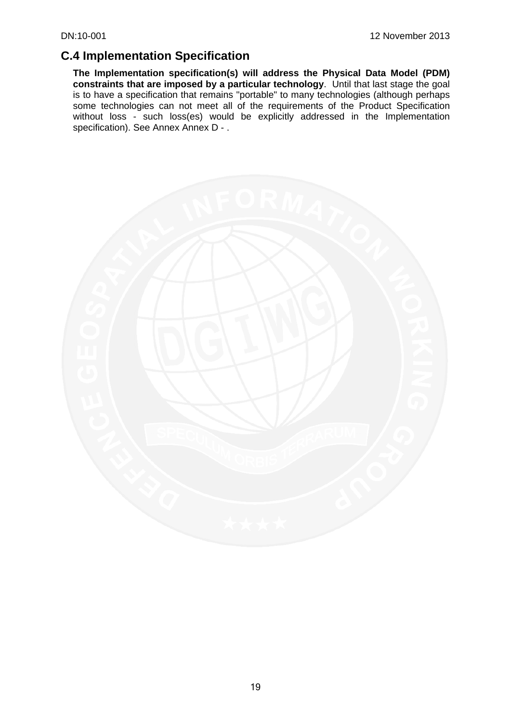## **C.4 Implementation Specification**

**The Implementation specification(s) will address the Physical Data Model (PDM) constraints that are imposed by a particular technology**. Until that last stage the goal is to have a specification that remains "portable" to many technologies (although perhaps some technologies can not meet all of the requirements of the Product Specification without loss - such loss(es) would be explicitly addressed in the Implementation specification). See Annex Annex D - .

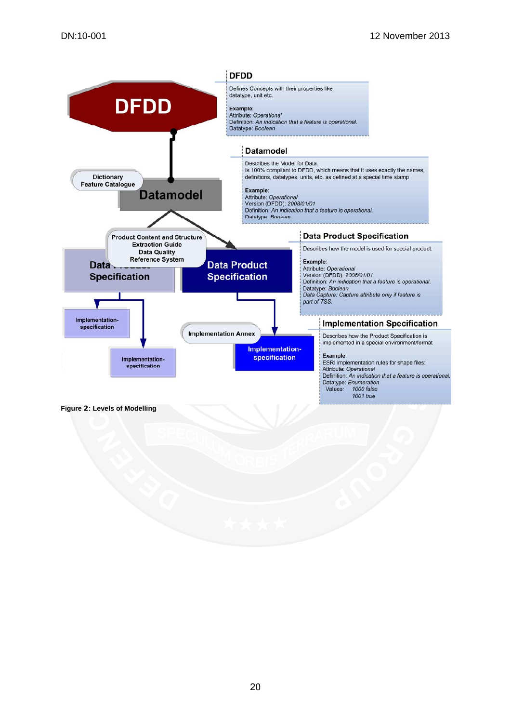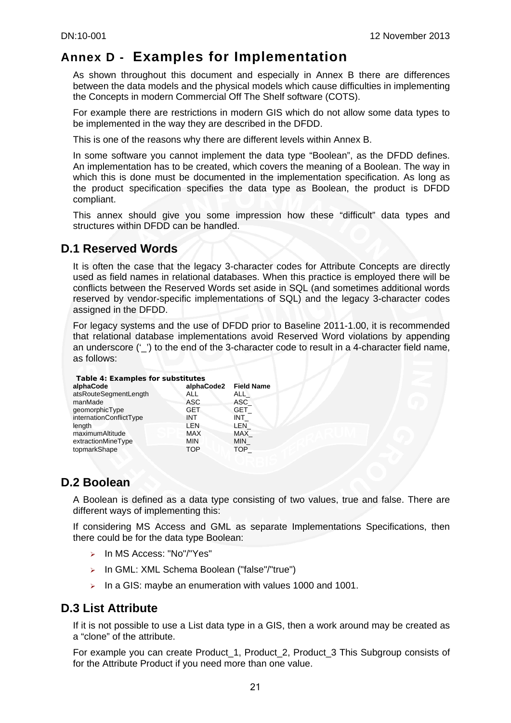## **Annex D - Examples for Implementation**

As shown throughout this document and especially in Annex B there are differences between the data models and the physical models which cause difficulties in implementing the Concepts in modern Commercial Off The Shelf software (COTS).

For example there are restrictions in modern GIS which do not allow some data types to be implemented in the way they are described in the DFDD.

This is one of the reasons why there are different levels within Annex B.

In some software you cannot implement the data type "Boolean", as the DFDD defines. An implementation has to be created, which covers the meaning of a Boolean. The way in which this is done must be documented in the implementation specification. As long as the product specification specifies the data type as Boolean, the product is DFDD compliant.

This annex should give you some impression how these "difficult" data types and structures within DFDD can be handled.

## **D.1 Reserved Words**

It is often the case that the legacy 3-character codes for Attribute Concepts are directly used as field names in relational databases. When this practice is employed there will be conflicts between the Reserved Words set aside in SQL (and sometimes additional words reserved by vendor-specific implementations of SQL) and the legacy 3-character codes assigned in the DFDD.

For legacy systems and the use of DFDD prior to Baseline 2011-1.00, it is recommended that relational database implementations avoid Reserved Word violations by appending an underscore  $(\underline{\ }')$  to the end of the 3-character code to result in a 4-character field name, as follows:

| Table 4: Examples for substitutes |            |                   |  |  |
|-----------------------------------|------------|-------------------|--|--|
| alphaCode                         | alphaCode2 | <b>Field Name</b> |  |  |
| atsRouteSegmentLength             | ALL        | <b>ALL</b>        |  |  |
| manMade                           | <b>ASC</b> | ASC               |  |  |
| geomorphicType                    | <b>GET</b> | GET               |  |  |
| internationConflictType           | INT        | INT               |  |  |
| length                            | LEN        | <b>LEN</b>        |  |  |
| maximumAltitude                   | <b>MAX</b> | <b>MAX</b>        |  |  |
| extractionMineType                | <b>MIN</b> | <b>MIN</b>        |  |  |
| topmarkShape                      | <b>TOP</b> | <b>TOP</b>        |  |  |

## **D.2 Boolean**

A Boolean is defined as a data type consisting of two values, true and false. There are different ways of implementing this:

If considering MS Access and GML as separate Implementations Specifications, then there could be for the data type Boolean:

- ¾ In MS Access: "No"/"Yes"
- ¾ In GML: XML Schema Boolean ("false"/"true")
- $\triangleright$  In a GIS: maybe an enumeration with values 1000 and 1001.

## **D.3 List Attribute**

If it is not possible to use a List data type in a GIS, then a work around may be created as a "clone" of the attribute.

For example you can create Product\_1, Product\_2, Product\_3 This Subgroup consists of for the Attribute Product if you need more than one value.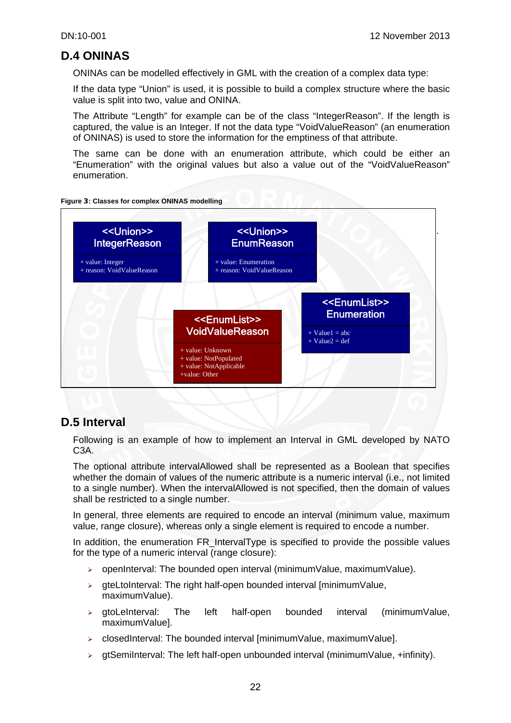## **D.4 ONINAS**

ONINAs can be modelled effectively in GML with the creation of a complex data type:

If the data type "Union" is used, it is possible to build a complex structure where the basic value is split into two, value and ONINA.

The Attribute "Length" for example can be of the class "IntegerReason". If the length is captured, the value is an Integer. If not the data type "VoidValueReason" (an enumeration of ONINAS) is used to store the information for the emptiness of that attribute.

The same can be done with an enumeration attribute, which could be either an "Enumeration" with the original values but also a value out of the "VoidValueReason" enumeration.





## **D.5 Interval**

Following is an example of how to implement an Interval in GML developed by NATO C3A.

The optional attribute intervalAllowed shall be represented as a Boolean that specifies whether the domain of values of the numeric attribute is a numeric interval (i.e., not limited to a single number). When the intervalAllowed is not specified, then the domain of values shall be restricted to a single number.

In general, three elements are required to encode an interval (minimum value, maximum value, range closure), whereas only a single element is required to encode a number.

In addition, the enumeration FR IntervalType is specified to provide the possible values for the type of a numeric interval (range closure):

- $\geq$  openInterval: The bounded open interval (minimumValue, maximumValue).
- $\triangleright$  gteLtoInterval: The right half-open bounded interval [minimum $Value$ , maximumValue).
- $\ge$  gtoLeInterval: The left half-open bounded interval (minimumValue, maximumValue].
- $\triangleright$  closedInterval: The bounded interval [minimumValue, maximumValue].
- $\rightarrow$  gtSemiInterval: The left half-open unbounded interval (minimumValue, +infinity).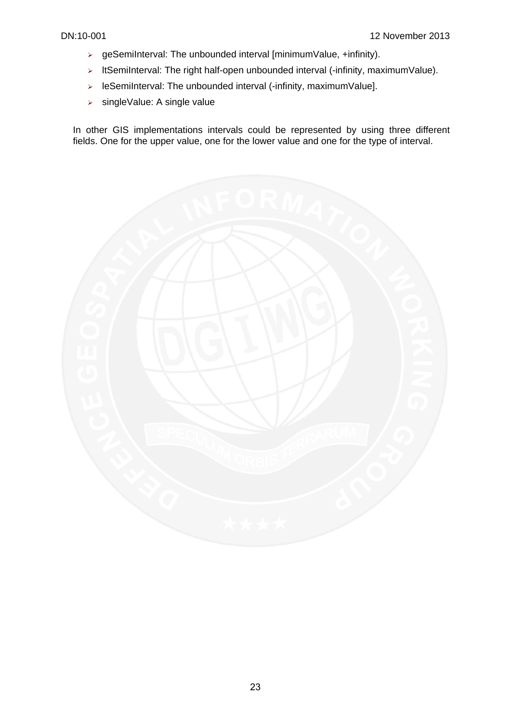- $\triangleright$  geSemiInterval: The unbounded interval [minimumValue, +infinity).
- $\triangleright$  ItSemiInterval: The right half-open unbounded interval (-infinity, maximumValue).
- ¾ leSemiInterval: The unbounded interval (-infinity, maximumValue].
- ¾ singleValue: A single value

In other GIS implementations intervals could be represented by using three different fields. One for the upper value, one for the lower value and one for the type of interval.

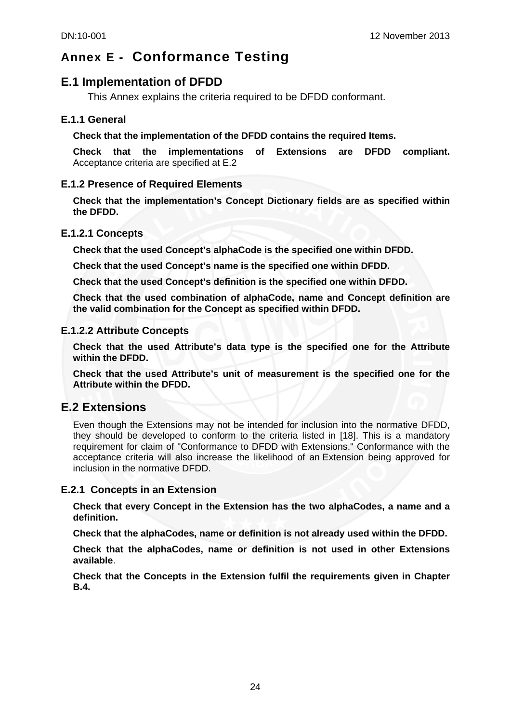## **Annex E - Conformance Testing**

### **E.1 Implementation of DFDD**

This Annex explains the criteria required to be DFDD conformant.

#### **E.1.1 General**

**Check that the implementation of the DFDD contains the required Items.**

**Check that the implementations of Extensions are DFDD compliant.** Acceptance criteria are specified at E.2

#### **E.1.2 Presence of Required Elements**

**Check that the implementation's Concept Dictionary fields are as specified within the DFDD.** 

#### **E.1.2.1 Concepts**

**Check that the used Concept's alphaCode is the specified one within DFDD.** 

**Check that the used Concept's name is the specified one within DFDD.** 

**Check that the used Concept's definition is the specified one within DFDD.** 

**Check that the used combination of alphaCode, name and Concept definition are the valid combination for the Concept as specified within DFDD.** 

#### **E.1.2.2 Attribute Concepts**

**Check that the used Attribute's data type is the specified one for the Attribute within the DFDD.** 

**Check that the used Attribute's unit of measurement is the specified one for the Attribute within the DFDD.** 

### **E.2 Extensions**

Even though the Extensions may not be intended for inclusion into the normative DFDD, they should be developed to conform to the criteria listed in [18]. This is a mandatory requirement for claim of "Conformance to DFDD with Extensions." Conformance with the acceptance criteria will also increase the likelihood of an Extension being approved for inclusion in the normative DFDD.

#### **E.2.1 Concepts in an Extension**

**Check that every Concept in the Extension has the two alphaCodes, a name and a definition.** 

**Check that the alphaCodes, name or definition is not already used within the DFDD.** 

**Check that the alphaCodes, name or definition is not used in other Extensions available**.

**Check that the Concepts in the Extension fulfil the requirements given in Chapter B.4.**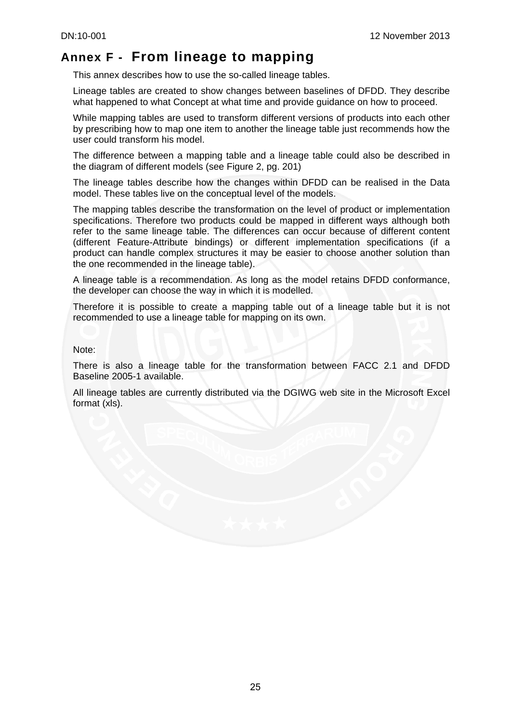## **Annex F - From lineage to mapping**

This annex describes how to use the so-called lineage tables.

Lineage tables are created to show changes between baselines of DFDD. They describe what happened to what Concept at what time and provide guidance on how to proceed.

While mapping tables are used to transform different versions of products into each other by prescribing how to map one item to another the lineage table just recommends how the user could transform his model.

The difference between a mapping table and a lineage table could also be described in the diagram of different models (see Figure 2, pg. 201)

The lineage tables describe how the changes within DFDD can be realised in the Data model. These tables live on the conceptual level of the models.

The mapping tables describe the transformation on the level of product or implementation specifications. Therefore two products could be mapped in different ways although both refer to the same lineage table. The differences can occur because of different content (different Feature-Attribute bindings) or different implementation specifications (if a product can handle complex structures it may be easier to choose another solution than the one recommended in the lineage table).

A lineage table is a recommendation. As long as the model retains DFDD conformance, the developer can choose the way in which it is modelled.

Therefore it is possible to create a mapping table out of a lineage table but it is not recommended to use a lineage table for mapping on its own.

Note:

There is also a lineage table for the transformation between FACC 2.1 and DFDD Baseline 2005-1 available.

All lineage tables are currently distributed via the DGIWG web site in the Microsoft Excel format (xls).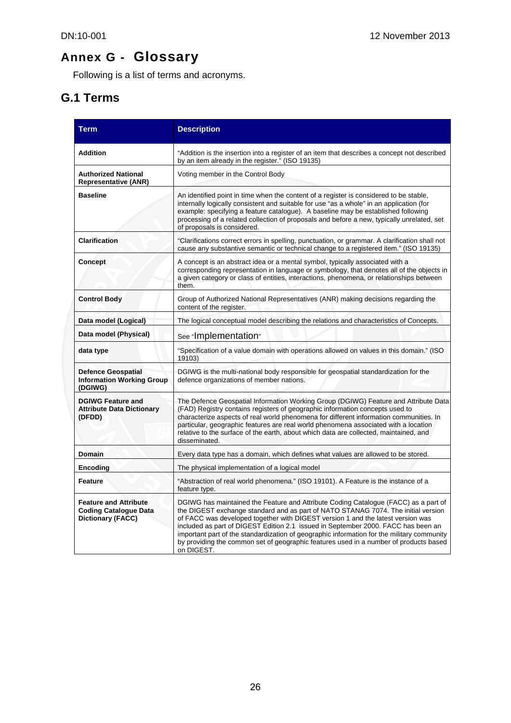# **Annex G - Glossary**

Following is a list of terms and acronyms.

## **G.1 Terms**

| <b>Term</b>                                                                                                                                                                                                                                                                                                                                                                                                                                                                                                                                                                                                                                       | <b>Description</b>                                                                                                                                                                                                                                                                                                                                                                                                                                             |  |  |
|---------------------------------------------------------------------------------------------------------------------------------------------------------------------------------------------------------------------------------------------------------------------------------------------------------------------------------------------------------------------------------------------------------------------------------------------------------------------------------------------------------------------------------------------------------------------------------------------------------------------------------------------------|----------------------------------------------------------------------------------------------------------------------------------------------------------------------------------------------------------------------------------------------------------------------------------------------------------------------------------------------------------------------------------------------------------------------------------------------------------------|--|--|
| <b>Addition</b>                                                                                                                                                                                                                                                                                                                                                                                                                                                                                                                                                                                                                                   | "Addition is the insertion into a register of an item that describes a concept not described<br>by an item already in the register." (ISO 19135)                                                                                                                                                                                                                                                                                                               |  |  |
| <b>Authorized National</b><br><b>Representative (ANR)</b>                                                                                                                                                                                                                                                                                                                                                                                                                                                                                                                                                                                         | Voting member in the Control Body                                                                                                                                                                                                                                                                                                                                                                                                                              |  |  |
| <b>Baseline</b>                                                                                                                                                                                                                                                                                                                                                                                                                                                                                                                                                                                                                                   | An identified point in time when the content of a register is considered to be stable,<br>internally logically consistent and suitable for use "as a whole" in an application (for<br>example: specifying a feature catalogue). A baseline may be established following<br>processing of a related collection of proposals and before a new, typically unrelated, set<br>of proposals is considered.                                                           |  |  |
| <b>Clarification</b>                                                                                                                                                                                                                                                                                                                                                                                                                                                                                                                                                                                                                              | "Clarifications correct errors in spelling, punctuation, or grammar. A clarification shall not<br>cause any substantive semantic or technical change to a registered item." (ISO 19135)                                                                                                                                                                                                                                                                        |  |  |
| Concept                                                                                                                                                                                                                                                                                                                                                                                                                                                                                                                                                                                                                                           | A concept is an abstract idea or a mental symbol, typically associated with a<br>corresponding representation in language or symbology, that denotes all of the objects in<br>a given category or class of entities, interactions, phenomena, or relationships between<br>them.                                                                                                                                                                                |  |  |
| <b>Control Body</b>                                                                                                                                                                                                                                                                                                                                                                                                                                                                                                                                                                                                                               | Group of Authorized National Representatives (ANR) making decisions regarding the<br>content of the register.                                                                                                                                                                                                                                                                                                                                                  |  |  |
| Data model (Logical)                                                                                                                                                                                                                                                                                                                                                                                                                                                                                                                                                                                                                              | The logical conceptual model describing the relations and characteristics of Concepts.                                                                                                                                                                                                                                                                                                                                                                         |  |  |
| Data model (Physical)                                                                                                                                                                                                                                                                                                                                                                                                                                                                                                                                                                                                                             | see "Implementation"                                                                                                                                                                                                                                                                                                                                                                                                                                           |  |  |
| data type                                                                                                                                                                                                                                                                                                                                                                                                                                                                                                                                                                                                                                         | "Specification of a value domain with operations allowed on values in this domain." (ISO<br>19103)                                                                                                                                                                                                                                                                                                                                                             |  |  |
| <b>Defence Geospatial</b><br><b>Information Working Group</b><br>(DGIWG)                                                                                                                                                                                                                                                                                                                                                                                                                                                                                                                                                                          | DGIWG is the multi-national body responsible for geospatial standardization for the<br>defence organizations of member nations.                                                                                                                                                                                                                                                                                                                                |  |  |
| <b>DGIWG Feature and</b><br><b>Attribute Data Dictionary</b><br>(DFDD)                                                                                                                                                                                                                                                                                                                                                                                                                                                                                                                                                                            | The Defence Geospatial Information Working Group (DGIWG) Feature and Attribute Data<br>(FAD) Registry contains registers of geographic information concepts used to<br>characterize aspects of real world phenomena for different information communities. In<br>particular, geographic features are real world phenomena associated with a location<br>relative to the surface of the earth, about which data are collected, maintained, and<br>disseminated. |  |  |
| Domain                                                                                                                                                                                                                                                                                                                                                                                                                                                                                                                                                                                                                                            | Every data type has a domain, which defines what values are allowed to be stored.                                                                                                                                                                                                                                                                                                                                                                              |  |  |
| Encoding                                                                                                                                                                                                                                                                                                                                                                                                                                                                                                                                                                                                                                          | The physical implementation of a logical model                                                                                                                                                                                                                                                                                                                                                                                                                 |  |  |
| Feature                                                                                                                                                                                                                                                                                                                                                                                                                                                                                                                                                                                                                                           | "Abstraction of real world phenomena." (ISO 19101). A Feature is the instance of a<br>feature type.                                                                                                                                                                                                                                                                                                                                                            |  |  |
| DGIWG has maintained the Feature and Attribute Coding Catalogue (FACC) as a part of<br><b>Feature and Attribute</b><br>the DIGEST exchange standard and as part of NATO STANAG 7074. The initial version<br><b>Coding Catalogue Data</b><br><b>Dictionary (FACC)</b><br>of FACC was developed together with DIGEST version 1 and the latest version was<br>included as part of DIGEST Edition 2.1 issued in September 2000. FACC has been an<br>important part of the standardization of geographic information for the military community<br>by providing the common set of geographic features used in a number of products based<br>on DIGEST. |                                                                                                                                                                                                                                                                                                                                                                                                                                                                |  |  |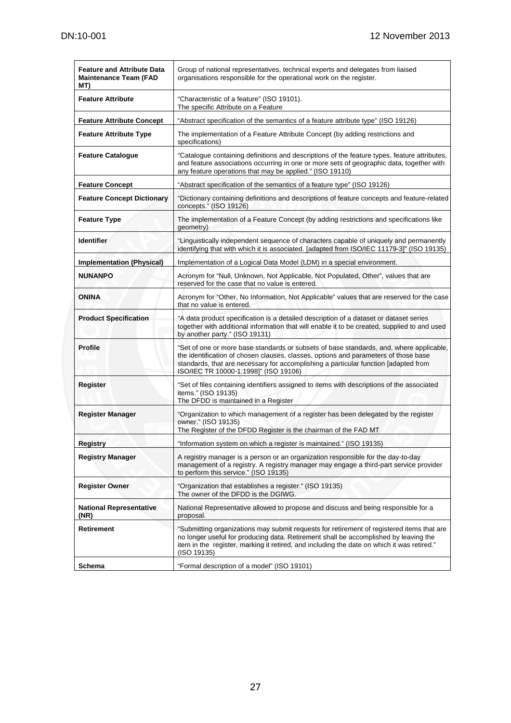| <b>Feature and Attribute Data</b><br><b>Maintenance Team (FAD</b><br>MT) | Group of national representatives, technical experts and delegates from liaised<br>organisations responsible for the operational work on the register.                                                                                                                                                         |  |  |
|--------------------------------------------------------------------------|----------------------------------------------------------------------------------------------------------------------------------------------------------------------------------------------------------------------------------------------------------------------------------------------------------------|--|--|
| <b>Feature Attribute</b>                                                 | "Characteristic of a feature" (ISO 19101).<br>The specific Attribute on a Feature                                                                                                                                                                                                                              |  |  |
| <b>Feature Attribute Concept</b>                                         | "Abstract specification of the semantics of a feature attribute type" (ISO 19126)                                                                                                                                                                                                                              |  |  |
| <b>Feature Attribute Type</b>                                            | The implementation of a Feature Attribute Concept (by adding restrictions and<br>specifications)                                                                                                                                                                                                               |  |  |
| <b>Feature Catalogue</b>                                                 | "Catalogue containing definitions and descriptions of the feature types, feature attributes,<br>and feature associations occurring in one or more sets of geographic data, together with<br>any feature operations that may be applied." (ISO 19110)                                                           |  |  |
| <b>Feature Concept</b>                                                   | "Abstract specification of the semantics of a feature type" (ISO 19126)                                                                                                                                                                                                                                        |  |  |
| <b>Feature Concept Dictionary</b>                                        | "Dictionary containing definitions and descriptions of feature concepts and feature-related<br>concepts." (ISO 19126)                                                                                                                                                                                          |  |  |
| <b>Feature Type</b>                                                      | The implementation of a Feature Concept (by adding restrictions and specifications like<br>geometry)                                                                                                                                                                                                           |  |  |
| <b>Identifier</b>                                                        | "Linguistically independent sequence of characters capable of uniquely and permanently<br>identifying that with which it is associated. [adapted from ISO/IEC 11179-3]" (ISO 19135)                                                                                                                            |  |  |
| <b>Implementation (Physical)</b>                                         | Implementation of a Logical Data Model (LDM) in a special environment.                                                                                                                                                                                                                                         |  |  |
| <b>NUNANPO</b>                                                           | Acronym for "Null, Unknown, Not Applicable, Not Populated, Other", values that are<br>reserved for the case that no value is entered.                                                                                                                                                                          |  |  |
| <b>ONINA</b>                                                             | Acronym for "Other, No Information, Not Applicable" values that are reserved for the case<br>that no value is entered.                                                                                                                                                                                         |  |  |
| <b>Product Specification</b>                                             | "A data product specification is a detailed description of a dataset or dataset series<br>together with additional information that will enable it to be created, supplied to and used<br>by another party." (ISO 19131)                                                                                       |  |  |
| <b>Profile</b>                                                           | "Set of one or more base standards or subsets of base standards, and, where applicable,<br>the identification of chosen clauses, classes, options and parameters of those base<br>standards, that are necessary for accomplishing a particular function [adapted from<br>ISO/IEC TR 10000-1:1998]" (ISO 19106) |  |  |
| Register                                                                 | "Set of files containing identifiers assigned to items with descriptions of the associated<br>items." (ISO 19135)<br>The DFDD is maintained in a Register                                                                                                                                                      |  |  |
| <b>Register Manager</b>                                                  | "Organization to which management of a register has been delegated by the register<br>owner." (ISO 19135)<br>The Register of the DFDD Register is the chairman of the FAD MT                                                                                                                                   |  |  |
| Registry                                                                 | "Information system on which a register is maintained." (ISO 19135)                                                                                                                                                                                                                                            |  |  |
| <b>Registry Manager</b>                                                  | A registry manager is a person or an organization responsible for the day-to-day<br>management of a registry. A registry manager may engage a third-part service provider<br>to perform this service." (ISO 19135)                                                                                             |  |  |
| <b>Register Owner</b>                                                    | "Organization that establishes a register." (ISO 19135)<br>The owner of the DFDD is the DGIWG.                                                                                                                                                                                                                 |  |  |
| <b>National Representative</b><br>(NR)                                   | National Representative allowed to propose and discuss and being responsible for a<br>proposal.                                                                                                                                                                                                                |  |  |
| Retirement                                                               | "Submitting organizations may submit requests for retirement of registered items that are<br>no longer useful for producing data. Retirement shall be accomplished by leaving the<br>item in the register, marking it retired, and including the date on which it was retired."<br>(ISO 19135)                 |  |  |
| Schema                                                                   | "Formal description of a model" (ISO 19101)                                                                                                                                                                                                                                                                    |  |  |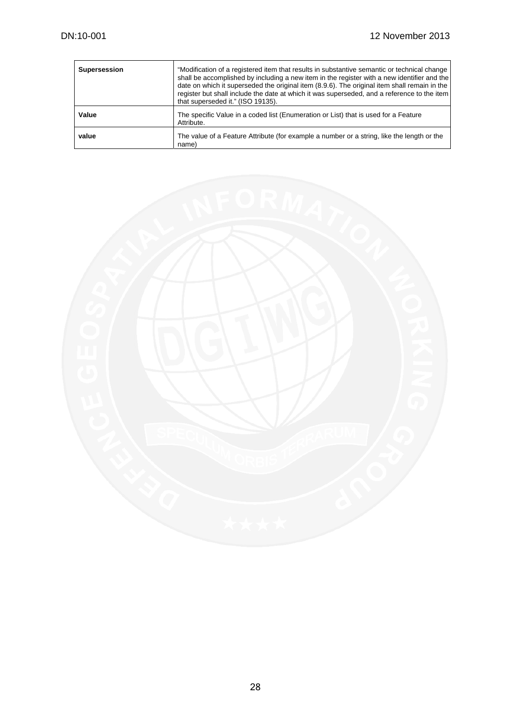| <b>Supersession</b> | "Modification of a registered item that results in substantive semantic or technical change<br>shall be accomplished by including a new item in the register with a new identifier and the<br>date on which it superseded the original item (8.9.6). The original item shall remain in the<br>register but shall include the date at which it was superseded, and a reference to the item<br>that superseded it." (ISO 19135). |
|---------------------|--------------------------------------------------------------------------------------------------------------------------------------------------------------------------------------------------------------------------------------------------------------------------------------------------------------------------------------------------------------------------------------------------------------------------------|
| Value               | The specific Value in a coded list (Enumeration or List) that is used for a Feature<br>Attribute.                                                                                                                                                                                                                                                                                                                              |
| value               | The value of a Feature Attribute (for example a number or a string, like the length or the<br>name)                                                                                                                                                                                                                                                                                                                            |

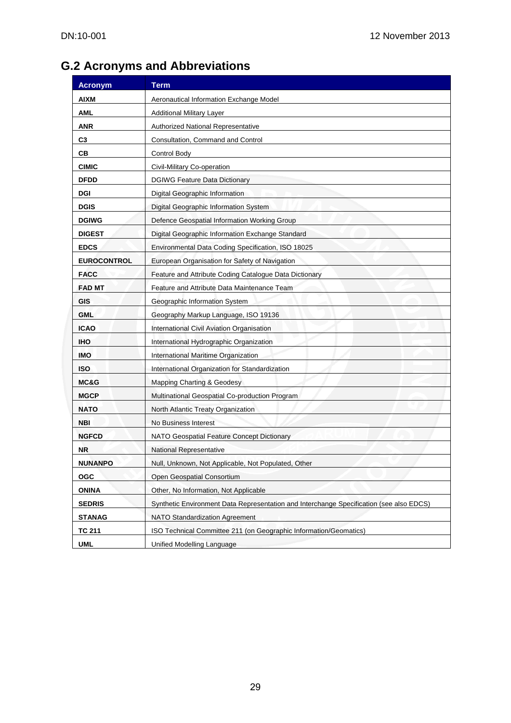# **G.2 Acronyms and Abbreviations**

| <b>Acronym</b>     | <b>Term</b>                                                                             |  |  |
|--------------------|-----------------------------------------------------------------------------------------|--|--|
| <b>AIXM</b>        | Aeronautical Information Exchange Model                                                 |  |  |
| <b>AML</b>         | <b>Additional Military Layer</b>                                                        |  |  |
| <b>ANR</b>         | <b>Authorized National Representative</b>                                               |  |  |
| C3                 | Consultation, Command and Control                                                       |  |  |
| CВ                 | Control Body                                                                            |  |  |
| <b>CIMIC</b>       | Civil-Military Co-operation                                                             |  |  |
| <b>DFDD</b>        | <b>DGIWG Feature Data Dictionary</b>                                                    |  |  |
| <b>DGI</b>         | Digital Geographic Information                                                          |  |  |
| <b>DGIS</b>        | Digital Geographic Information System                                                   |  |  |
| <b>DGIWG</b>       | Defence Geospatial Information Working Group                                            |  |  |
| <b>DIGEST</b>      | Digital Geographic Information Exchange Standard                                        |  |  |
| <b>EDCS</b>        | Environmental Data Coding Specification, ISO 18025                                      |  |  |
| <b>EUROCONTROL</b> | European Organisation for Safety of Navigation                                          |  |  |
| <b>FACC</b>        | Feature and Attribute Coding Catalogue Data Dictionary                                  |  |  |
| <b>FAD MT</b>      | Feature and Attribute Data Maintenance Team                                             |  |  |
| <b>GIS</b>         | Geographic Information System                                                           |  |  |
| <b>GML</b>         | Geography Markup Language, ISO 19136                                                    |  |  |
| <b>ICAO</b>        | International Civil Aviation Organisation                                               |  |  |
| <b>IHO</b>         | International Hydrographic Organization                                                 |  |  |
| IMO                | International Maritime Organization                                                     |  |  |
| <b>ISO</b>         | International Organization for Standardization                                          |  |  |
| MC&G               | <b>Mapping Charting &amp; Geodesy</b>                                                   |  |  |
| <b>MGCP</b>        | Multinational Geospatial Co-production Program                                          |  |  |
| <b>NATO</b>        | North Atlantic Treaty Organization                                                      |  |  |
| <b>NBI</b>         | No Business Interest                                                                    |  |  |
| <b>NGFCD</b>       | NATO Geospatial Feature Concept Dictionary                                              |  |  |
| NR.                | National Representative                                                                 |  |  |
| <b>NUNANPO</b>     | Null, Unknown, Not Applicable, Not Populated, Other                                     |  |  |
| <b>OGC</b>         | Open Geospatial Consortium                                                              |  |  |
| <b>ONINA</b>       | Other, No Information, Not Applicable                                                   |  |  |
| <b>SEDRIS</b>      | Synthetic Environment Data Representation and Interchange Specification (see also EDCS) |  |  |
| <b>STANAG</b>      | NATO Standardization Agreement                                                          |  |  |
| <b>TC 211</b>      | ISO Technical Committee 211 (on Geographic Information/Geomatics)                       |  |  |
| <b>UML</b>         | Unified Modelling Language                                                              |  |  |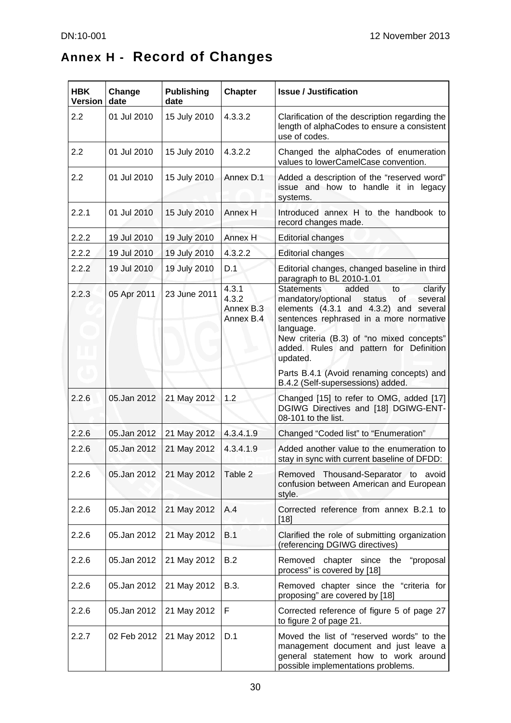$\blacksquare$ 

# **Annex H - Record of Changes**

| <b>HBK</b><br><b>Version</b> | Change<br>date | <b>Publishing</b><br>date | <b>Chapter</b>                           | <b>Issue / Justification</b>                                                                                                                                                                                                                                                                       |
|------------------------------|----------------|---------------------------|------------------------------------------|----------------------------------------------------------------------------------------------------------------------------------------------------------------------------------------------------------------------------------------------------------------------------------------------------|
| 2.2                          | 01 Jul 2010    | 15 July 2010              | 4.3.3.2                                  | Clarification of the description regarding the<br>length of alphaCodes to ensure a consistent<br>use of codes.                                                                                                                                                                                     |
| 2.2                          | 01 Jul 2010    | 15 July 2010              | 4.3.2.2                                  | Changed the alphaCodes of enumeration<br>values to lowerCamelCase convention.                                                                                                                                                                                                                      |
| 2.2                          | 01 Jul 2010    | 15 July 2010              | Annex D.1                                | Added a description of the "reserved word"<br>issue and how to handle it in legacy<br>systems.                                                                                                                                                                                                     |
| 2.2.1                        | 01 Jul 2010    | 15 July 2010              | Annex H                                  | Introduced annex H to the handbook to<br>record changes made.                                                                                                                                                                                                                                      |
| 2.2.2                        | 19 Jul 2010    | 19 July 2010              | Annex H                                  | <b>Editorial changes</b>                                                                                                                                                                                                                                                                           |
| 2.2.2                        | 19 Jul 2010    | 19 July 2010              | 4.3.2.2                                  | <b>Editorial changes</b>                                                                                                                                                                                                                                                                           |
| 2.2.2                        | 19 Jul 2010    | 19 July 2010              | D.1                                      | Editorial changes, changed baseline in third<br>paragraph to BL 2010-1.01                                                                                                                                                                                                                          |
| 2.2.3                        | 05 Apr 2011    | 23 June 2011              | 4.3.1<br>4.3.2<br>Annex B.3<br>Annex B.4 | <b>Statements</b><br>added<br>clarify<br>to<br>mandatory/optional<br>status<br>of<br>several<br>elements (4.3.1 and 4.3.2) and several<br>sentences rephrased in a more normative<br>language.<br>New criteria (B.3) of "no mixed concepts"<br>added. Rules and pattern for Definition<br>updated. |
|                              |                |                           |                                          | Parts B.4.1 (Avoid renaming concepts) and<br>B.4.2 (Self-supersessions) added.                                                                                                                                                                                                                     |
| 2.2.6                        | 05.Jan 2012    | 21 May 2012               | 1.2                                      | Changed [15] to refer to OMG, added [17]<br>DGIWG Directives and [18] DGIWG-ENT-<br>08-101 to the list.                                                                                                                                                                                            |
| 2.2.6                        | 05.Jan 2012    | 21 May 2012               | 4.3.4.1.9                                | Changed "Coded list" to "Enumeration"                                                                                                                                                                                                                                                              |
| 2.2.6                        | 05.Jan 2012    | 21 May 2012               | 4.3.4.1.9                                | Added another value to the enumeration to<br>stay in sync with current baseline of DFDD:                                                                                                                                                                                                           |
| 2.2.6                        | 05.Jan 2012    | 21 May 2012               | Table 2                                  | Removed Thousand-Separator to avoid<br>confusion between American and European<br>style.                                                                                                                                                                                                           |
| 2.2.6                        | 05.Jan 2012    | 21 May 2012               | A.4                                      | Corrected reference from annex B.2.1 to<br>$[18]$                                                                                                                                                                                                                                                  |
| 2.2.6                        | 05.Jan 2012    | 21 May 2012               | B.1                                      | Clarified the role of submitting organization<br>(referencing DGIWG directives)                                                                                                                                                                                                                    |
| 2.2.6                        | 05.Jan 2012    | 21 May 2012               | B.2                                      | Removed chapter since the<br>"proposal<br>process" is covered by [18]                                                                                                                                                                                                                              |
| 2.2.6                        | 05.Jan 2012    | 21 May 2012               | B.3.                                     | Removed chapter since the "criteria for<br>proposing" are covered by [18]                                                                                                                                                                                                                          |
| 2.2.6                        | 05.Jan 2012    | 21 May 2012               | F                                        | Corrected reference of figure 5 of page 27<br>to figure 2 of page 21.                                                                                                                                                                                                                              |
| 2.2.7                        | 02 Feb 2012    | 21 May 2012               | D.1                                      | Moved the list of "reserved words" to the<br>management document and just leave a<br>general statement how to work around<br>possible implementations problems.                                                                                                                                    |